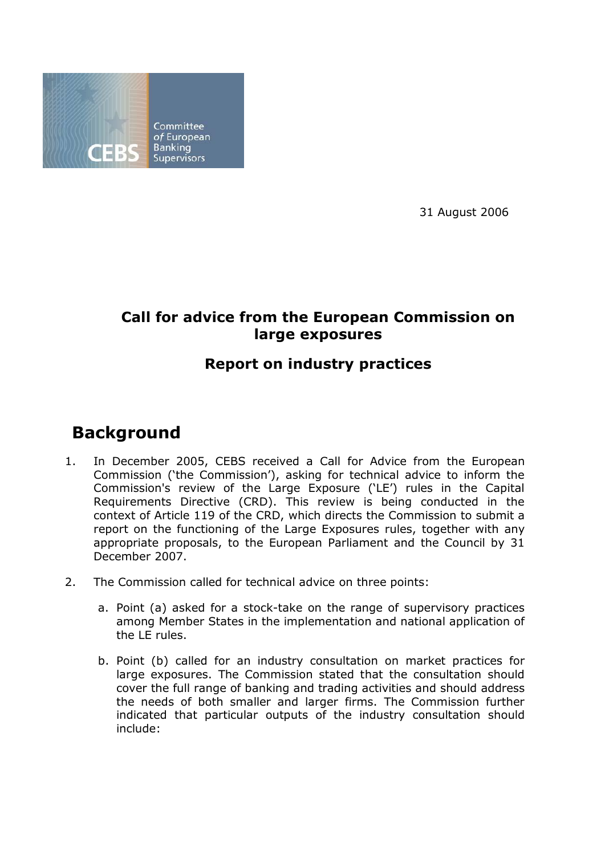<span id="page-0-0"></span>

31 August 2006

# **Call for advice from the European Commission on large exposures**

# **Report on industry practices**

# **Background**

- 1. In December 2005, CEBS received a Call for Advice from the European Commission ('the Commission'), asking for technical advice to inform the Commission's review of the Large Exposure ('LE') rules in the Capital Requirements Directive (CRD). This review is being conducted in the context of Article 119 of the CRD, which directs the Commission to submit a report on the functioning of the Large Exposures rules, together with any appropriate proposals, to the European Parliament and the Council by 31 December 2007.
- 2. The Commission called for technical advice on three points:
	- a. Point (a) asked for a stock-take on the range of supervisory practices among Member States in the implementation and national application of the LE rules.
	- b. Point (b) called for an industry consultation on market practices for large exposures. The Commission stated that the consultation should cover the full range of banking and trading activities and should address the needs of both smaller and larger firms. The Commission further indicated that particular outputs of the industry consultation should include: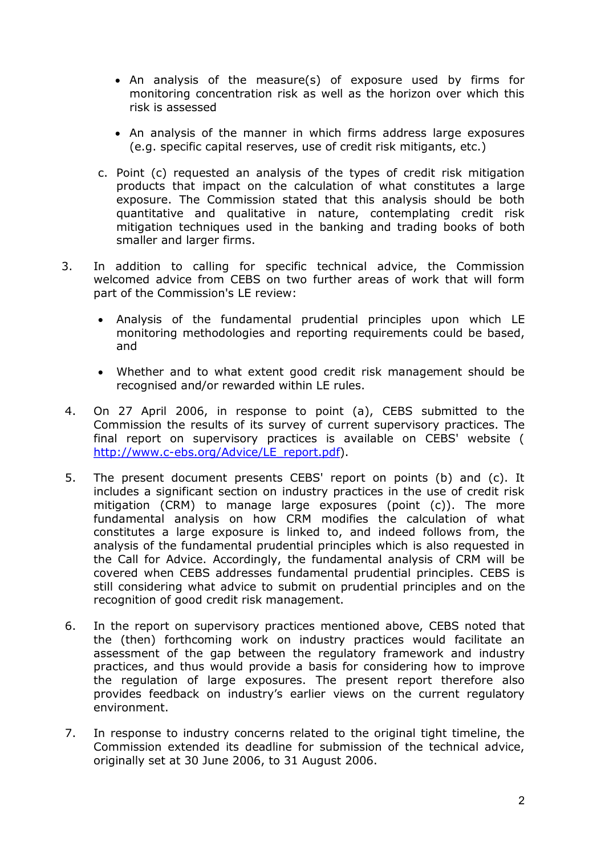- · An analysis of the measure(s) of exposure used by firms for monitoring concentration risk as well as the horizon over which this risk is assessed
- · An analysis of the manner in which firms address large exposures (e.g. specific capital reserves, use of credit risk mitigants, etc.)
- c. Point (c) requested an analysis of the types of credit risk mitigation products that impact on the calculation of what constitutes a large exposure. The Commission stated that this analysis should be both quantitative and qualitative in nature, contemplating credit risk mitigation techniques used in the banking and trading books of both smaller and larger firms.
- 3. In addition to calling for specific technical advice, the Commission welcomed advice from CEBS on two further areas of work that will form part of the Commission's LE review:
	- · Analysis of the fundamental prudential principles upon which LE monitoring methodologies and reporting requirements could be based, and
	- · Whether and to what extent good credit risk management should be recognised and/or rewarded within LE rules.
- 4. On 27 April 2006, in response to point (a), CEBS submitted to the Commission the results of its survey of current supervisory practices. The final report on supervisory practices is available on CEBS' website ( http://www.c-ebs.org/Advice/LE\_report.pdf).
- 5. The present document presents CEBS' report on points (b) and (c). It includes a significant section on industry practices in the use of credit risk mitigation (CRM) to manage large exposures (point (c)). The more fundamental analysis on how CRM modifies the calculation of what constitutes a large exposure is linked to, and indeed follows from, the analysis of the fundamental prudential principles which is also requested in the Call for Advice. Accordingly, the fundamental analysis of CRM will be covered when CEBS addresses fundamental prudential principles. CEBS is still considering what advice to submit on prudential principles and on the recognition of good credit risk management.
- 6. In the report on supervisory practices mentioned above, CEBS noted that the (then) forthcoming work on industry practices would facilitate an assessment of the gap between the regulatory framework and industry practices, and thus would provide a basis for considering how to improve the regulation of large exposures. The present report therefore also provides feedback on industry's earlier views on the current regulatory environment.
- 7. In response to industry concerns related to the original tight timeline, the Commission extended its deadline for submission of the technical advice, originally set at 30 June 2006, to 31 August 2006.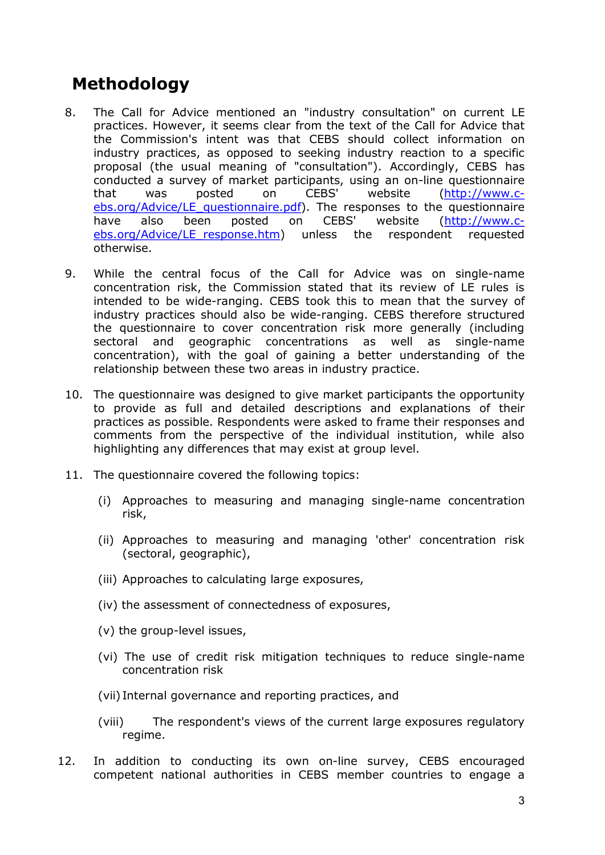# **Methodology**

- 8. The Call for Advice mentioned an "industry consultation" on current LE practices. However, it seems clear from the text of the Call for Advice that the Commission's intent was that CEBS should collect information on industry practices, as opposed to seeking industry reaction to a specific proposal (the usual meaning of "consultation"). Accordingly, CEBS has conducted a survey of market participants, using an on-line questionnaire that was posted on CEBS' website (http://www.c[ebs.org/Advice/LE\\_questionnaire.pdf\).](http://www.c-ebs.org/Advice/LE_questionnaire.pdf) The responses to the questionnaire have also been posted on CEBS' website (http://www.c[ebs.org/Advice/LE\\_response.htm\)](http://www.c-ebs.org/Advice/LE_response.htm)  unless the respondent requested otherwise.
- 9. While the central focus of the Call for Advice was on single-name concentration risk, the Commission stated that its review of LE rules is intended to be wide-ranging. CEBS took this to mean that the survey of industry practices should also be wide-ranging. CEBS therefore structured the questionnaire to cover concentration risk more generally (including sectoral and geographic concentrations as well as single-name concentration), with the goal of gaining a better understanding of the relationship between these two areas in industry practice.
- 10. The questionnaire was designed to give market participants the opportunity to provide as full and detailed descriptions and explanations of their practices as possible. Respondents were asked to frame their responses and comments from the perspective of the individual institution, while also highlighting any differences that may exist at group level.
- 11. The questionnaire covered the following topics:
	- (i) Approaches to measuring and managing single-name concentration risk,
	- (ii) Approaches to measuring and managing 'other' concentration risk (sectoral, geographic),
	- (iii) Approaches to calculating large exposures,
	- (iv) the assessment of connectedness of exposures,
	- $(v)$  the group-level issues,
	- (vi) The use of credit risk mitigation techniques to reduce single-name concentration risk
	- (vii) Internal governance and reporting practices, and
	- (viii) The respondent's views of the current large exposures regulatory regime.
- 12. In addition to conducting its own on-line survey, CEBS encouraged competent national authorities in CEBS member countries to engage a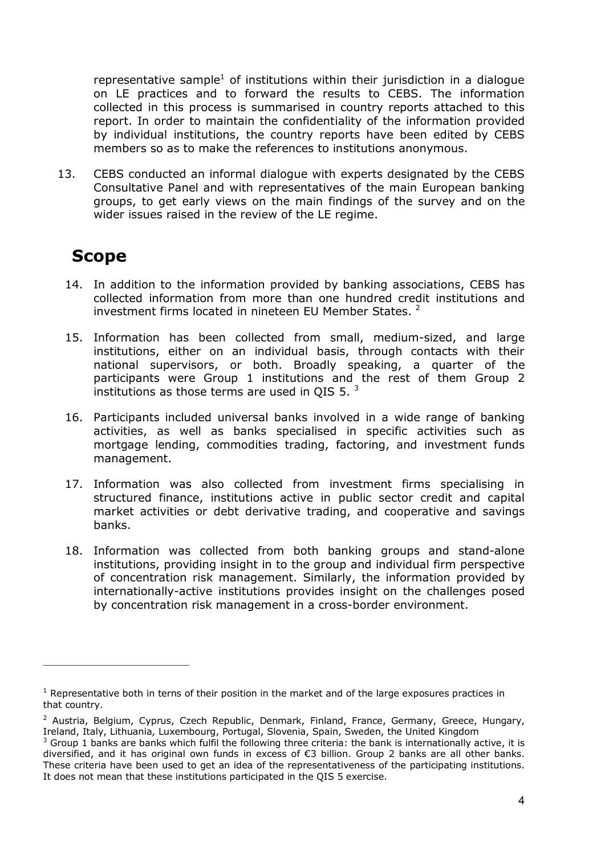representative sample<sup>1</sup> of institutions within their jurisdiction in a dialogue on LE practices and to forward the results to CEBS. The information collected in this process is summarised in country reports attached to this report. In order to maintain the confidentiality of the information provided by individual institutions, the country reports have been edited by CEBS members so as to make the references to institutions anonymous.

13. CEBS conducted an informal dialogue with experts designated by the CEBS Consultative Panel and with representatives of the main European banking groups, to get early views on the main findings of the survey and on the wider issues raised in the review of the LE regime.

# **Scope**

- 14. In addition to the information provided by banking associations, CEBS has collected information from more than one hundred credit institutions and investment firms located in nineteen EU Member States.<sup>2</sup>
- 15. Information has been collected from small, medium-sized, and large institutions, either on an individual basis, through contacts with their national supervisors, or both. Broadly speaking, a quarter of the participants were Group 1 institutions and the rest of them Group 2 institutions as those terms are used in QIS 5. $^3$
- 16. Participants included universal banks involved in a wide range of banking activities, as well as banks specialised in specific activities such as mortgage lending, commodities trading, factoring, and investment funds management.
- 17. Information was also collected from investment firms specialising in structured finance, institutions active in public sector credit and capital market activities or debt derivative trading, and cooperative and savings banks.
- 18. Information was collected from both banking groups and stand-alone institutions, providing insight in to the group and individual firm perspective of concentration risk management. Similarly, the information provided by internationally-active institutions provides insight on the challenges posed by concentration risk management in a cross-border environment.

 $<sup>1</sup>$  Representative both in terns of their position in the market and of the large exposures practices in</sup> that country.

 $2$  Austria, Belgium, Cyprus, Czech Republic, Denmark, Finland, France, Germany, Greece, Hungary, Ireland, Italy, Lithuania, Luxembourg, Portugal, Slovenia, Spain, Sweden, the United Kingdom

 $3$  Group 1 banks are banks which fulfil the following three criteria: the bank is internationally active, it is diversified, and it has original own funds in excess of €3 billion. Group 2 banks are all other banks. These criteria have been used to get an idea of the representativeness of the participating institutions. It does not mean that these institutions participated in the QIS 5 exercise.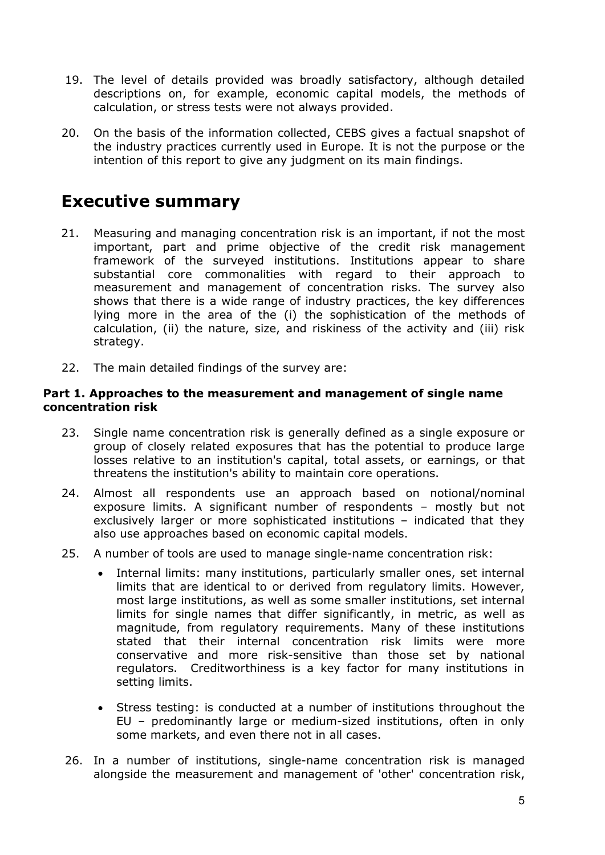- 19. The level of details provided was broadly satisfactory, although detailed descriptions on, for example, economic capital models, the methods of calculation, or stress tests were not always provided.
- 20. On the basis of the information collected, CEBS gives a factual snapshot of the industry practices currently used in Europe. It is not the purpose or the intention of this report to give any judgment on its main findings.

# **Executive summary**

- 21. Measuring and managing concentration risk is an important, if not the most important, part and prime objective of the credit risk management framework of the surveyed institutions. Institutions appear to share substantial core commonalities with regard to their approach to measurement and management of concentration risks. The survey also shows that there is a wide range of industry practices, the key differences lying more in the area of the (i) the sophistication of the methods of calculation, (ii) the nature, size, and riskiness of the activity and (iii) risk strategy.
- 22. The main detailed findings of the survey are:

#### **Part 1. Approaches to the measurement and management of single name concentration risk**

- 23. Single name concentration risk is generally defined as a single exposure or group of closely related exposures that has the potential to produce large losses relative to an institution's capital, total assets, or earnings, or that threatens the institution's ability to maintain core operations.
- 24. Almost all respondents use an approach based on notional/nominal exposure limits. A significant number of respondents – mostly but not exclusively larger or more sophisticated institutions – indicated that they also use approaches based on economic capital models.
- 25. A number of tools are used to manage single-name concentration risk:
	- Internal limits: many institutions, particularly smaller ones, set internal limits that are identical to or derived from regulatory limits. However, most large institutions, as well as some smaller institutions, set internal limits for single names that differ significantly, in metric, as well as magnitude, from regulatory requirements. Many of these institutions stated that their internal concentration risk limits were more conservative and more risk-sensitive than those set by national regulators. Creditworthiness is a key factor for many institutions in setting limits.
	- · Stress testing: is conducted at a number of institutions throughout the  $EU - predominantly large or medium-sized institutions, often in only$ some markets, and even there not in all cases.
- 26. In a number of institutions, single-name concentration risk is managed alongside the measurement and management of 'other' concentration risk,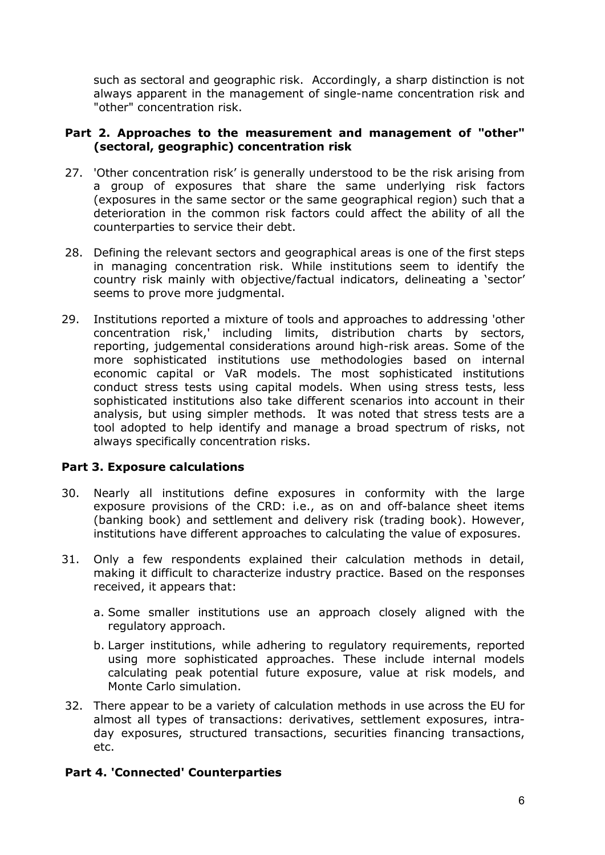such as sectoral and geographic risk. Accordingly, a sharp distinction is not always apparent in the management of single-name concentration risk and "other" concentration risk.

#### **Part 2. Approaches to the measurement and management of "other" (sectoral, geographic) concentration risk**

- 27. 'Other concentration risk' is generally understood to be the risk arising from a group of exposures that share the same underlying risk factors (exposures in the same sector or the same geographical region) such that a deterioration in the common risk factors could affect the ability of all the counterparties to service their debt.
- 28. Defining the relevant sectors and geographical areas is one of the first steps in managing concentration risk. While institutions seem to identify the country risk mainly with objective/factual indicators, delineating a 'sector' seems to prove more judgmental.
- 29. Institutions reported a mixture of tools and approaches to addressing 'other concentration risk,' including limits, distribution charts by sectors, reporting, judgemental considerations around high-risk areas. Some of the more sophisticated institutions use methodologies based on internal economic capital or VaR models. The most sophisticated institutions conduct stress tests using capital models. When using stress tests, less sophisticated institutions also take different scenarios into account in their analysis, but using simpler methods. It was noted that stress tests are a tool adopted to help identify and manage a broad spectrum of risks, not always specifically concentration risks.

#### **Part 3. Exposure calculations**

- 30. Nearly all institutions define exposures in conformity with the large exposure provisions of the CRD: i.e., as on and off-balance sheet items (banking book) and settlement and delivery risk (trading book). However, institutions have different approaches to calculating the value of exposures.
- 31. Only a few respondents explained their calculation methods in detail, making it difficult to characterize industry practice. Based on the responses received, it appears that:
	- a. Some smaller institutions use an approach closely aligned with the regulatory approach.
	- b. Larger institutions, while adhering to regulatory requirements, reported using more sophisticated approaches. These include internal models calculating peak potential future exposure, value at risk models, and Monte Carlo simulation.
- 32. There appear to be a variety of calculation methods in use across the EU for almost all types of transactions: derivatives, settlement exposures, intra day exposures, structured transactions, securities financing transactions, etc.

#### **Part 4. 'Connected' Counterparties**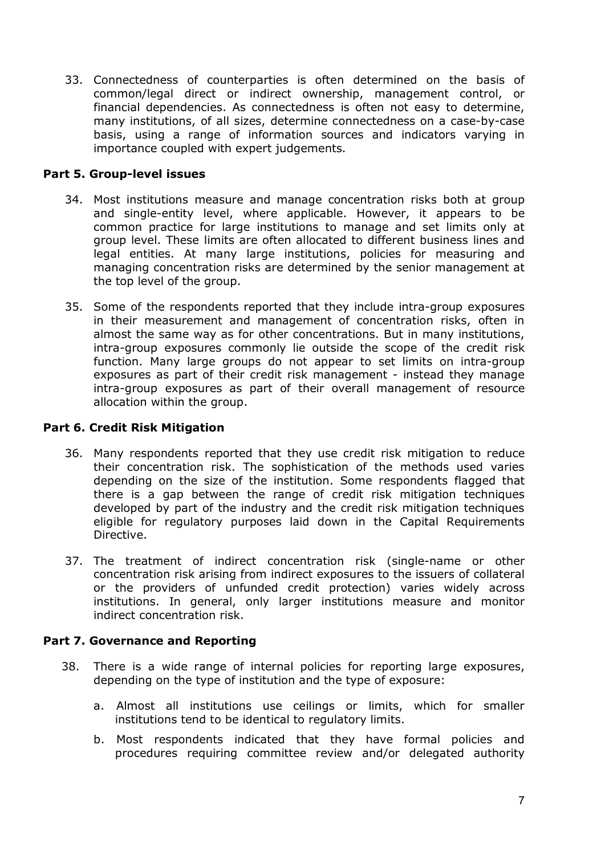33. Connectedness of counterparties is often determined on the basis of common/legal direct or indirect ownership, management control, or financial dependencies. As connectedness is often not easy to determine, many institutions, of all sizes, determine connectedness on a case-by-case basis, using a range of information sources and indicators varying in importance coupled with expert judgements.

#### **Part 5. Group-level issues**

- 34. Most institutions measure and manage concentration risks both at group and single-entity level, where applicable. However, it appears to be common practice for large institutions to manage and set limits only at group level. These limits are often allocated to different business lines and legal entities. At many large institutions, policies for measuring and managing concentration risks are determined by the senior management at the top level of the group.
- 35. Some of the respondents reported that they include intra-group exposures in their measurement and management of concentration risks, often in almost the same way as for other concentrations. But in many institutions, intra-group exposures commonly lie outside the scope of the credit risk function. Many large groups do not appear to set limits on intra-group exposures as part of their credit risk management - instead they manage intra-group exposures as part of their overall management of resource allocation within the group.

#### **Part 6. Credit Risk Mitigation**

- 36. Many respondents reported that they use credit risk mitigation to reduce their concentration risk. The sophistication of the methods used varies depending on the size of the institution. Some respondents flagged that there is a gap between the range of credit risk mitigation techniques developed by part of the industry and the credit risk mitigation techniques eligible for regulatory purposes laid down in the Capital Requirements Directive.
- 37. The treatment of indirect concentration risk (single-name or other concentration risk arising from indirect exposures to the issuers of collateral or the providers of unfunded credit protection) varies widely across institutions. In general, only larger institutions measure and monitor indirect concentration risk.

#### **Part 7. Governance and Reporting**

- 38. There is a wide range of internal policies for reporting large exposures, depending on the type of institution and the type of exposure:
	- a. Almost all institutions use ceilings or limits, which for smaller institutions tend to be identical to regulatory limits.
	- b. Most respondents indicated that they have formal policies and procedures requiring committee review and/or delegated authority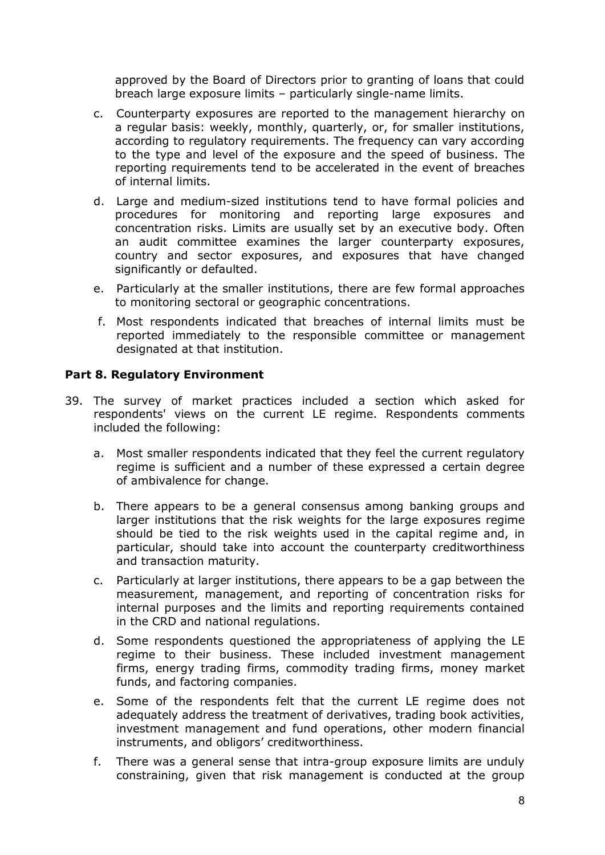approved by the Board of Directors prior to granting of loans that could breach large exposure limits - particularly single-name limits.

- c. Counterparty exposures are reported to the management hierarchy on a regular basis: weekly, monthly, quarterly, or, for smaller institutions, according to regulatory requirements. The frequency can vary according to the type and level of the exposure and the speed of business. The reporting requirements tend to be accelerated in the event of breaches of internal limits.
- d. Large and medium-sized institutions tend to have formal policies and procedures for monitoring and reporting large exposures and concentration risks. Limits are usually set by an executive body. Often an audit committee examines the larger counterparty exposures, country and sector exposures, and exposures that have changed significantly or defaulted.
- e. Particularly at the smaller institutions, there are few formal approaches to monitoring sectoral or geographic concentrations.
- f. Most respondents indicated that breaches of internal limits must be reported immediately to the responsible committee or management designated at that institution.

#### **Part 8. Regulatory Environment**

- 39. The survey of market practices included a section which asked for respondents' views on the current LE regime. Respondents comments included the following:
	- a. Most smaller respondents indicated that they feel the current regulatory regime is sufficient and a number of these expressed a certain degree of ambivalence for change.
	- b. There appears to be a general consensus among banking groups and larger institutions that the risk weights for the large exposures regime should be tied to the risk weights used in the capital regime and, in particular, should take into account the counterparty creditworthiness and transaction maturity.
	- c. Particularly at larger institutions, there appears to be a gap between the measurement, management, and reporting of concentration risks for internal purposes and the limits and reporting requirements contained in the CRD and national regulations.
	- d. Some respondents questioned the appropriateness of applying the LE regime to their business. These included investment management firms, energy trading firms, commodity trading firms, money market funds, and factoring companies.
	- e. Some of the respondents felt that the current LE regime does not adequately address the treatment of derivatives, trading book activities, investment management and fund operations, other modern financial instruments, and obligors' creditworthiness.
	- f. There was a general sense that intra-group exposure limits are unduly constraining, given that risk management is conducted at the group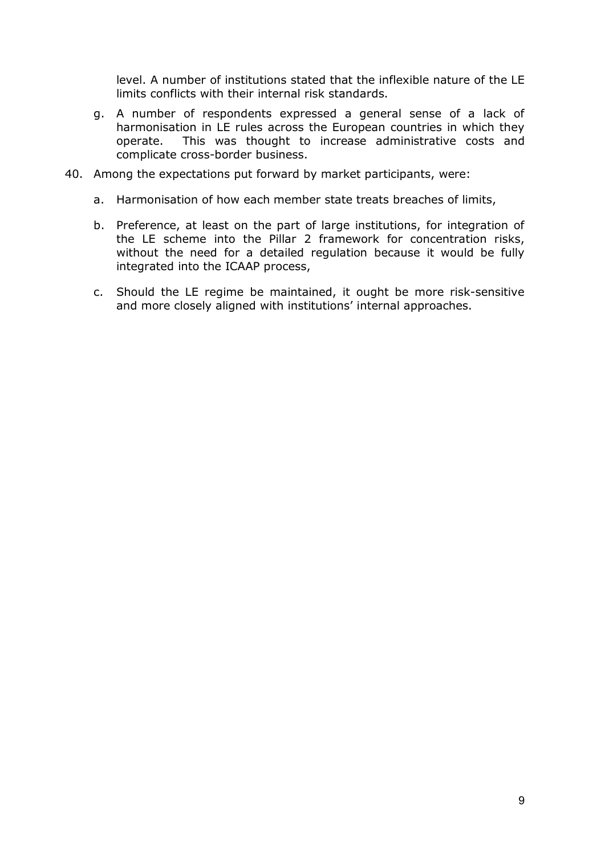level. A number of institutions stated that the inflexible nature of the LE limits conflicts with their internal risk standards.

- g. A number of respondents expressed a general sense of a lack of harmonisation in LE rules across the European countries in which they operate. This was thought to increase administrative costs and complicate cross-border business.
- 40. Among the expectations put forward by market participants, were:
	- a. Harmonisation of how each member state treats breaches of limits,
	- b. Preference, at least on the part of large institutions, for integration of the LE scheme into the Pillar 2 framework for concentration risks, without the need for a detailed regulation because it would be fully integrated into the ICAAP process,
	- c. Should the LE regime be maintained, it ought be more risk-sensitive and more closely aligned with institutions' internal approaches.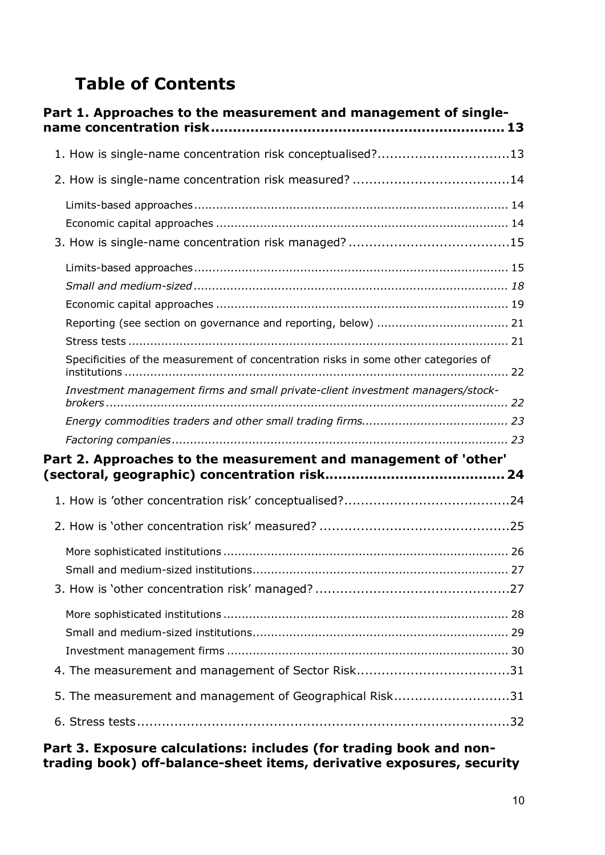# **Table of Contents**

| Part 1. Approaches to the measurement and management of single-                     |
|-------------------------------------------------------------------------------------|
| 1. How is single-name concentration risk conceptualised?13                          |
|                                                                                     |
|                                                                                     |
|                                                                                     |
|                                                                                     |
|                                                                                     |
|                                                                                     |
|                                                                                     |
|                                                                                     |
|                                                                                     |
| Specificities of the measurement of concentration risks in some other categories of |
| Investment management firms and small private-client investment managers/stock-     |
|                                                                                     |
|                                                                                     |
| Part 2. Approaches to the measurement and management of 'other'                     |
|                                                                                     |
|                                                                                     |
|                                                                                     |
|                                                                                     |
|                                                                                     |
|                                                                                     |
|                                                                                     |
|                                                                                     |
| 5. The measurement and management of Geographical Risk31                            |
|                                                                                     |

#### **Part 3. Exposure calculations: includes (for trading book and non**  trading book) off-balance-sheet items, derivative exposures, security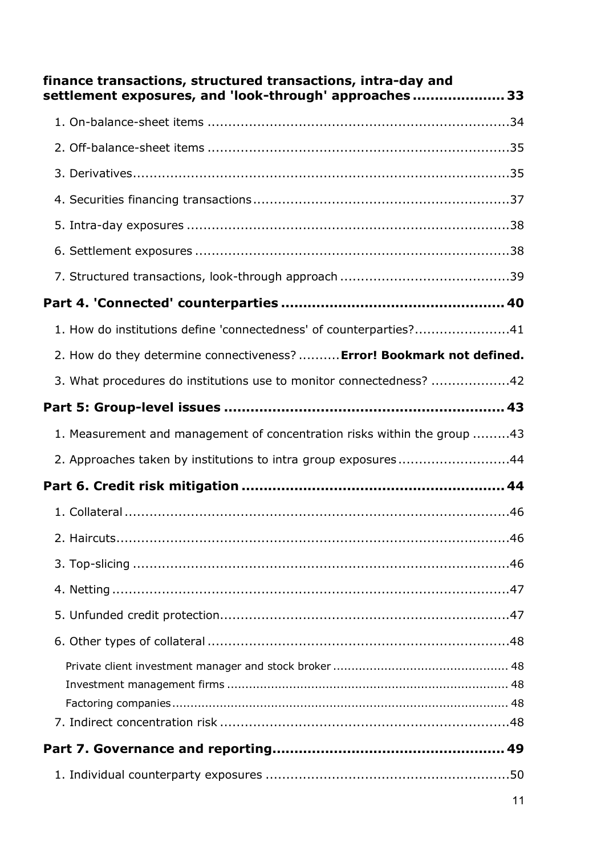| finance transactions, structured transactions, intra-day and<br>settlement exposures, and 'look-through' approaches 33 |  |  |  |
|------------------------------------------------------------------------------------------------------------------------|--|--|--|
|                                                                                                                        |  |  |  |
|                                                                                                                        |  |  |  |
|                                                                                                                        |  |  |  |
|                                                                                                                        |  |  |  |
|                                                                                                                        |  |  |  |
|                                                                                                                        |  |  |  |
|                                                                                                                        |  |  |  |
|                                                                                                                        |  |  |  |
| 1. How do institutions define 'connectedness' of counterparties?41                                                     |  |  |  |
| 2. How do they determine connectiveness?  Error! Bookmark not defined.                                                 |  |  |  |
| 3. What procedures do institutions use to monitor connectedness? 42                                                    |  |  |  |
|                                                                                                                        |  |  |  |
| 1. Measurement and management of concentration risks within the group 43                                               |  |  |  |
| 2. Approaches taken by institutions to intra group exposures44                                                         |  |  |  |
|                                                                                                                        |  |  |  |
|                                                                                                                        |  |  |  |
|                                                                                                                        |  |  |  |
|                                                                                                                        |  |  |  |
|                                                                                                                        |  |  |  |
|                                                                                                                        |  |  |  |
|                                                                                                                        |  |  |  |
|                                                                                                                        |  |  |  |
|                                                                                                                        |  |  |  |
|                                                                                                                        |  |  |  |
|                                                                                                                        |  |  |  |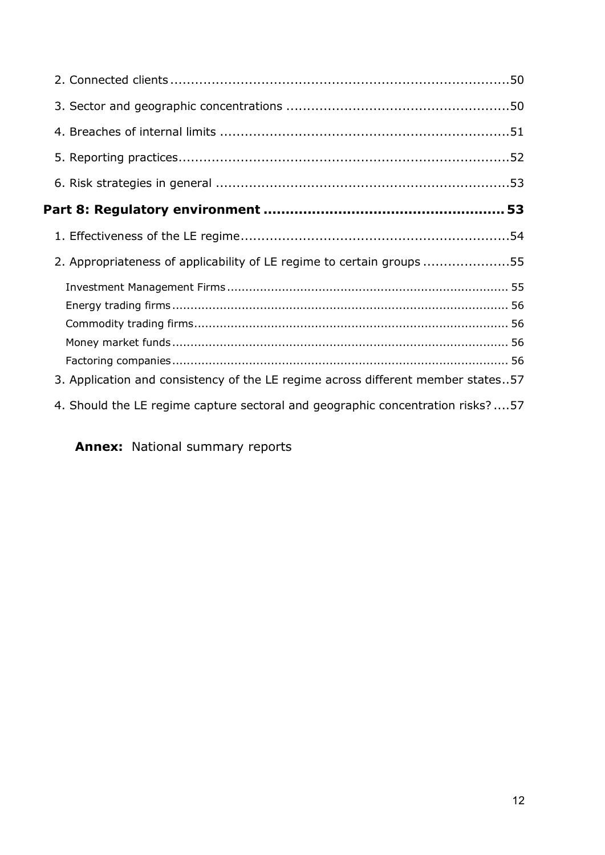| 2. Appropriateness of applicability of LE regime to certain groups 55            |  |
|----------------------------------------------------------------------------------|--|
|                                                                                  |  |
|                                                                                  |  |
|                                                                                  |  |
|                                                                                  |  |
|                                                                                  |  |
| 3. Application and consistency of the LE regime across different member states57 |  |

**Annex:**  National summary reports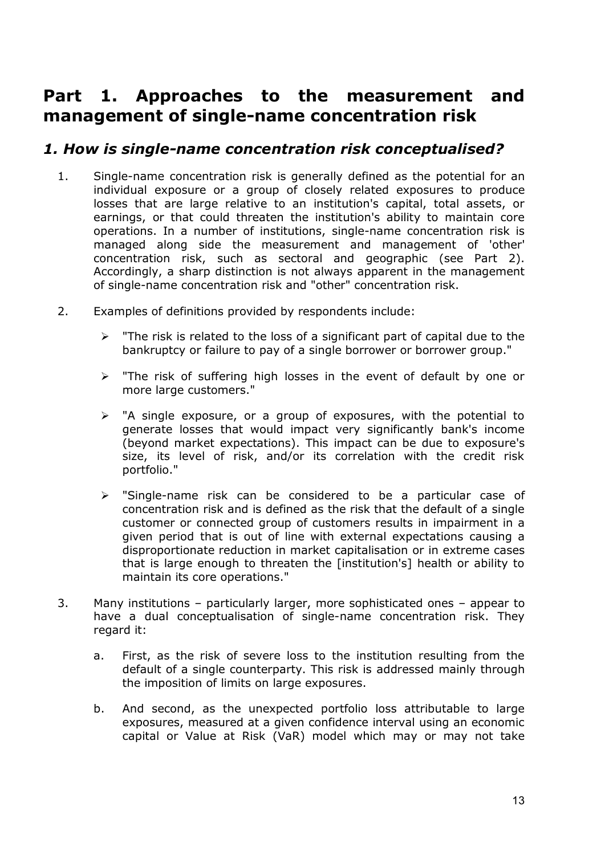# <span id="page-12-0"></span>**Part 1. Approaches to the measurement and management of single-name concentration risk**

## <span id="page-12-1"></span>*1. How is single-name concentration risk conceptualised?*

- 1. Single-name concentration risk is generally defined as the potential for an individual exposure or a group of closely related exposures to produce losses that are large relative to an institution's capital, total assets, or earnings, or that could threaten the institution's ability to maintain core operations. In a number of institutions, singlename concentration risk is managed along side the measurement and management of 'other' concentration risk, such as sectoral and geographic (see Part 2). Accordingly, a sharp distinction is not always apparent in the management of single-name concentration risk and "other" concentration risk.
- 2. Examples of definitions provided by respondents include:
	- $\triangleright$  "The risk is related to the loss of a significant part of capital due to the bankruptcy or failure to pay of a single borrower or borrower group."
	- $\triangleright$  "The risk of suffering high losses in the event of default by one or more large customers."
	- $\triangleright$  "A single exposure, or a group of exposures, with the potential to generate losses that would impact very significantly bank's income (beyond market expectations). This impact can be due to exposure's size, its level of risk, and/or its correlation with the credit risk portfolio."
	- $\triangleright$  "Single-name risk can be considered to be a particular case of concentration risk and is defined as the risk that the default of a single customer or connected group of customers results in impairment in a given period that is out of line with external expectations causing a disproportionate reduction in market capitalisation or in extreme cases that is large enough to threaten the [institution's] health or ability to maintain its core operations."
- 3. Many institutions particularly larger, more sophisticated ones appear to have a dual conceptualisation of single-name concentration risk. They regard it:
	- a. First, as the risk of severe loss to the institution resulting from the default of a single counterparty. This risk is addressed mainly through the imposition of limits on large exposures.
	- b. And second, as the unexpected portfolio loss attributable to large exposures, measured at a given confidence interval using an economic capital or Value at Risk (VaR) model which may or may not take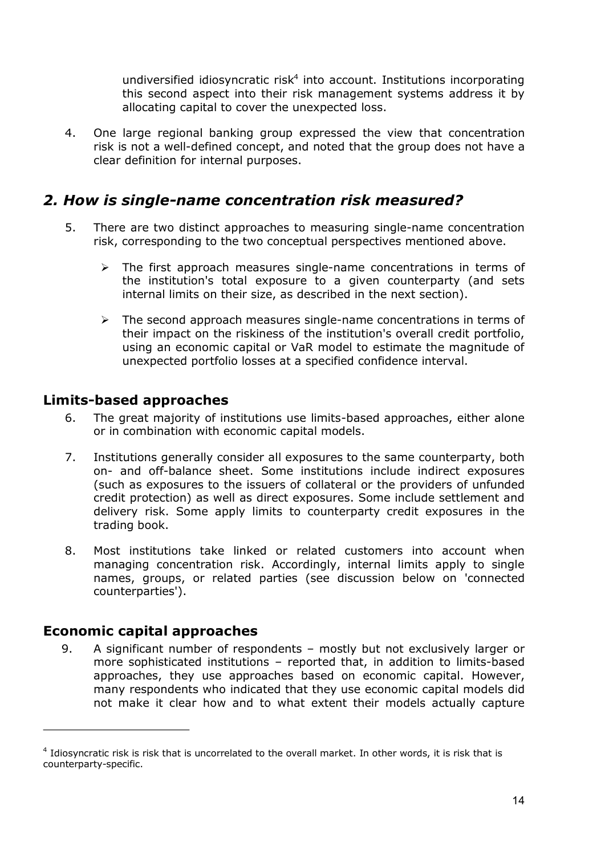undiversified idiosyncratic risk $^4$  into account. Institutions incorporating this second aspect into their risk management systems address it by allocating capital to cover the unexpected loss.

4. One large regional banking group expressed the view that concentration risk is not a well-defined concept, and noted that the group does not have a clear definition for internal purposes.

## <span id="page-13-0"></span>**2. How is single-name concentration risk measured?**

- 5. There are two distinct approaches to measuring single-name concentration risk, corresponding to the two conceptual perspectives mentioned above.
	- $\triangleright$  The first approach measures single-name concentrations in terms of the institution's total exposure to a given counterparty (and sets internal limits on their size, as described in the next section).
	- $\triangleright$  The second approach measures single-name concentrations in terms of their impact on the riskiness of the institution's overall credit portfolio, using an economic capital or VaR model to estimate the magnitude of unexpected portfolio losses at a specified confidence interval.

#### <span id="page-13-1"></span>**Limits-based approaches**

- 6. The great majority of institutions use limits-based approaches, either alone or in combination with economic capital models.
- 7. Institutions generally consider all exposures to the same counterparty, both on- and off-balance sheet. Some institutions include indirect exposures (such as exposures to the issuers of collateral or the providers of unfunded credit protection) as well as direct exposures. Some include settlement and delivery risk. Some apply limits to counterparty credit exposures in the trading book.
- 8. Most institutions take linked or related customers into account when managing concentration risk. Accordingly, internal limits apply to single names, groups, or related parties (see discussion below on 'connected counterparties').

#### <span id="page-13-2"></span>**Economic capital approaches**

9. A significant number of respondents – mostly but not exclusively larger or more sophisticated institutions  $-$  reported that, in addition to limits-based approaches, they use approaches based on economic capital. However, many respondents who indicated that they use economic capital models did not make it clear how and to what extent their models actually capture

<sup>4</sup> Idiosyncratic risk is risk that is uncorrelated to the overall market. In other words, it is risk that is counterparty-specific.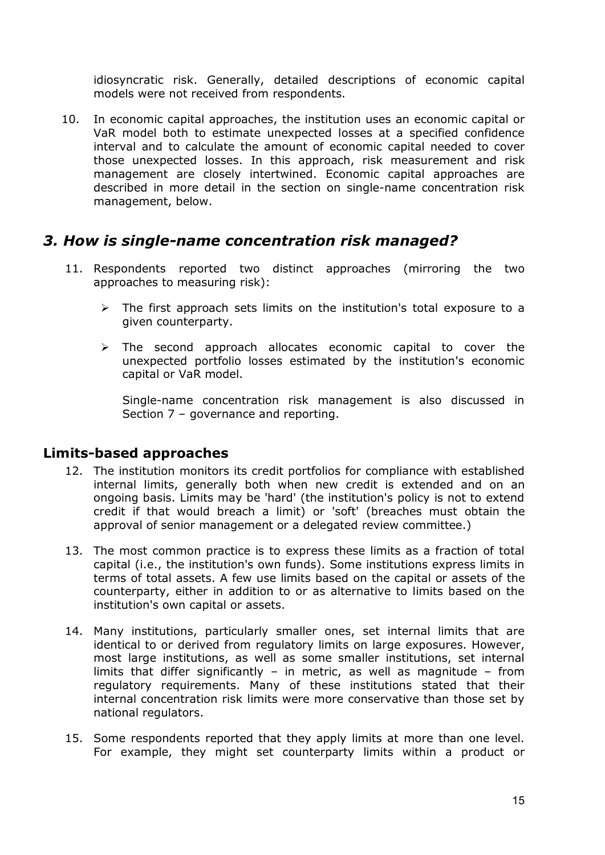idiosyncratic risk. Generally, detailed descriptions of economic capital models were not received from respondents.

10. In economic capital approaches, the institution uses an economic capital or VaR model both to estimate unexpected losses at a specified confidence interval and to calculate the amount of economic capital needed to cover those unexpected losses. In this approach, risk measurement and risk management are closely intertwined. Economic capital approaches are described in more detail in the section on single-name concentration risk management, below.

## <span id="page-14-0"></span>**3. How is single-name concentration risk managed?**

- 11. Respondents reported two distinct approaches (mirroring the two approaches to measuring risk):
	- $\triangleright$  The first approach sets limits on the institution's total exposure to a given counterparty.
	- $\triangleright$  The second approach allocates economic capital to cover the unexpected portfolio losses estimated by the institution's economic capital or VaR model.

Single-name concentration risk management is also discussed in Section 7 – governance and reporting.

#### <span id="page-14-1"></span>**Limits-based approaches**

- 12. The institution monitors its credit portfolios for compliance with established internal limits, generally both when new credit is extended and on an ongoing basis. Limits may be 'hard' (the institution's policy is not to extend credit if that would breach a limit) or 'soft' (breaches must obtain the approval of senior management or a delegated review committee.)
- 13. The most common practice is to express these limits as a fraction of total capital (i.e., the institution's own funds). Some institutions express limits in terms of total assets. A few use limits based on the capital or assets of the counterparty, either in addition to or as alternative to limits based on the institution's own capital or assets.
- 14. Many institutions, particularly smaller ones, set internal limits that are identical to or derived from regulatory limits on large exposures. However, most large institutions, as well as some smaller institutions, set internal limits that differ significantly - in metric, as well as magnitude - from regulatory requirements. Many of these institutions stated that their internal concentration risk limits were more conservative than those set by national regulators.
- 15. Some respondents reported that they apply limits at more than one level. For example, they might set counterparty limits within a product or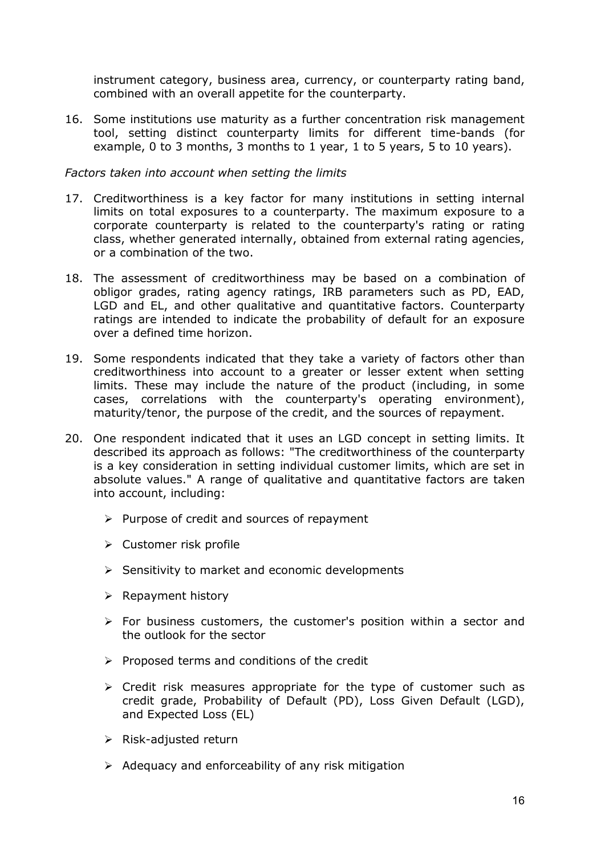instrument category, business area, currency, or counterparty rating band, combined with an overall appetite for the counterparty.

16. Some institutions use maturity as a further concentration risk management tool, setting distinct counterparty limits for different time-bands (for example, 0 to 3 months, 3 months to 1 year, 1 to 5 years, 5 to 10 years).

#### *Factors taken into account when setting the limits*

- 17. Creditworthiness is a key factor for many institutions in setting internal limits on total exposures to a counterparty. The maximum exposure to a corporate counterparty is related to the counterparty's rating or rating class, whether generated internally, obtained from external rating agencies, or a combination of the two.
- 18. The assessment of creditworthiness may be based on a combination of obligor grades, rating agency ratings, IRB parameters such as PD, EAD, LGD and EL, and other qualitative and quantitative factors. Counterparty ratings are intended to indicate the probability of default for an exposure over a defined time horizon.
- 19. Some respondents indicated that they take a variety of factors other than creditworthiness into account to a greater or lesser extent when setting limits. These may include the nature of the product (including, in some cases, correlations with the counterparty's operating environment), maturity/tenor, the purpose of the credit, and the sources of repayment.
- 20. One respondent indicated that it uses an LGD concept in setting limits. It described its approach as follows: "The creditworthiness of the counterparty is a key consideration in setting individual customer limits, which are set in absolute values." A range of qualitative and quantitative factors are taken into account, including:
	- $\triangleright$  Purpose of credit and sources of repayment
	- $\triangleright$  Customer risk profile
	- $\triangleright$  Sensitivity to market and economic developments
	- $\triangleright$  Repayment history
	- $\triangleright$  For business customers, the customer's position within a sector and the outlook for the sector
	- $\triangleright$  Proposed terms and conditions of the credit
	- $\triangleright$  Credit risk measures appropriate for the type of customer such as credit grade, Probability of Default (PD), Loss Given Default (LGD), and Expected Loss (EL)
	- $\triangleright$  Risk-adjusted return
	- $\triangleright$  Adequacy and enforceability of any risk mitigation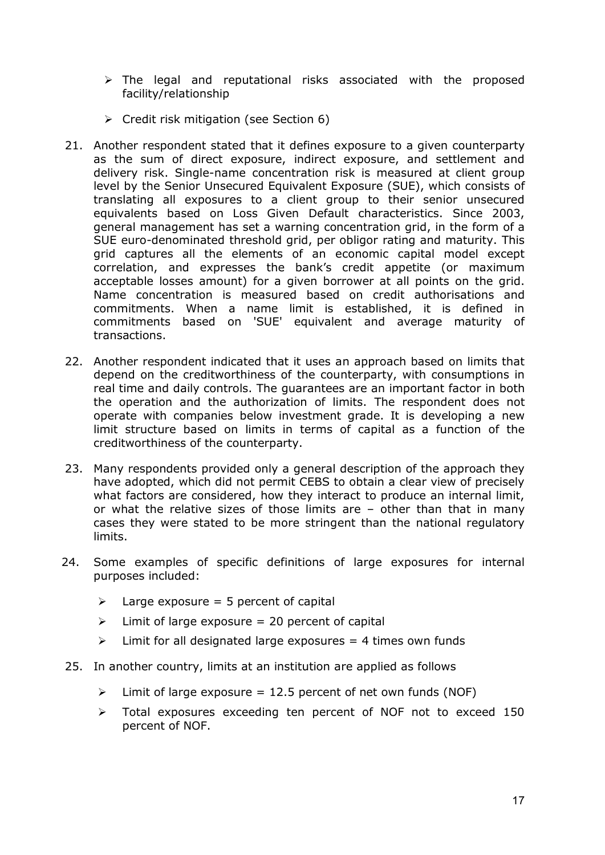- $\triangleright$  The legal and reputational risks associated with the proposed facility/relationship
- $\triangleright$  Credit risk mitigation (see Section 6)
- 21. Another respondent stated that it defines exposure to a given counterparty as the sum of direct exposure, indirect exposure, and settlement and delivery risk. Single-name concentration risk is measured at client group level by the Senior Unsecured Equivalent Exposure (SUE), which consists of translating all exposures to a client group to their senior unsecured equivalents based on Loss Given Default characteristics. Since 2003, general management has set a warning concentration grid, in the form of a SUE euro-denominated threshold grid, per obligor rating and maturity. This grid captures all the elements of an economic capital model except correlation, and expresses the bank's credit appetite (or maximum acceptable losses amount) for a given borrower at all points on the grid. Name concentration is measured based on credit authorisations and commitments. When a name limit is established, it is defined in commitments based on 'SUE' equivalent and average maturity of transactions.
- 22. Another respondent indicated that it uses an approach based on limits that depend on the creditworthiness of the counterparty, with consumptions in real time and daily controls. The guarantees are an important factor in both the operation and the authorization of limits. The respondent does not operate with companies below investment grade. It is developing a new limit structure based on limits in terms of capital as a function of the creditworthiness of the counterparty.
- 23. Many respondents provided only a general description of the approach they have adopted, which did not permit CEBS to obtain a clear view of precisely what factors are considered, how they interact to produce an internal limit, or what the relative sizes of those limits are – other than that in many cases they were stated to be more stringent than the national regulatory limits.
- 24. Some examples of specific definitions of large exposures for internal purposes included:
	- $\triangleright$  Large exposure = 5 percent of capital
	- $\geq$  Limit of large exposure = 20 percent of capital
	- $\geq$  Limit for all designated large exposures = 4 times own funds
- 25. In another country, limits at an institution are applied as follows
	- $\geq$  Limit of large exposure = 12.5 percent of net own funds (NOF)
	- $\triangleright$  Total exposures exceeding ten percent of NOF not to exceed 150 percent of NOF.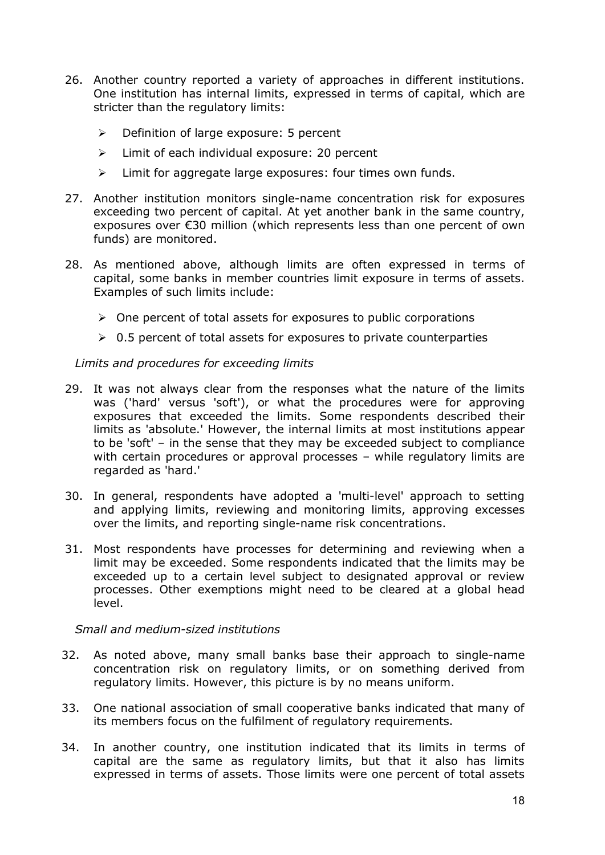- 26. Another country reported a variety of approaches in different institutions. One institution has internal limits, expressed in terms of capital, which are stricter than the regulatory limits:
	- $\triangleright$  Definition of large exposure: 5 percent
	- $\geq$  Limit of each individual exposure: 20 percent
	- $\geq$  Limit for aggregate large exposures: four times own funds.
- 27. Another institution monitors single-name concentration risk for exposures exceeding two percent of capital. At yet another bank in the same country, exposures over €30 million (which represents less than one percent of own funds) are monitored.
- 28. As mentioned above, although limits are often expressed in terms of capital, some banks in member countries limit exposure in terms of assets. Examples of such limits include:
	- $\triangleright$  One percent of total assets for exposures to public corporations
	- $\geq 0.5$  percent of total assets for exposures to private counterparties

#### *Limits and procedures for exceeding limits*

- 29. It was not always clear from the responses what the nature of the limits was ('hard' versus 'soft'), or what the procedures were for approving exposures that exceeded the limits. Some respondents described their limits as 'absolute.' However, the internal limits at most institutions appear to be 'soft' – in the sense that they may be exceeded subject to compliance with certain procedures or approval processes - while regulatory limits are regarded as 'hard.'
- 30. In general, respondents have adopted a 'multi-level' approach to setting and applying limits, reviewing and monitoring limits, approving excesses over the limits, and reporting single-name risk concentrations.
- 31. Most respondents have processes for determining and reviewing when a limit may be exceeded. Some respondents indicated that the limits may be exceeded up to a certain level subject to designated approval or review processes. Other exemptions might need to be cleared at a global head level.

<span id="page-17-0"></span>*Small and mediumsized institutions*

- 32. As noted above, many small banks base their approach to single-name concentration risk on regulatory limits, or on something derived from regulatory limits. However, this picture is by no means uniform.
- 33. One national association of small cooperative banks indicated that many of its members focus on the fulfilment of regulatory requirements.
- 34. In another country, one institution indicated that its limits in terms of capital are the same as regulatory limits, but that it also has limits expressed in terms of assets. Those limits were one percent of total assets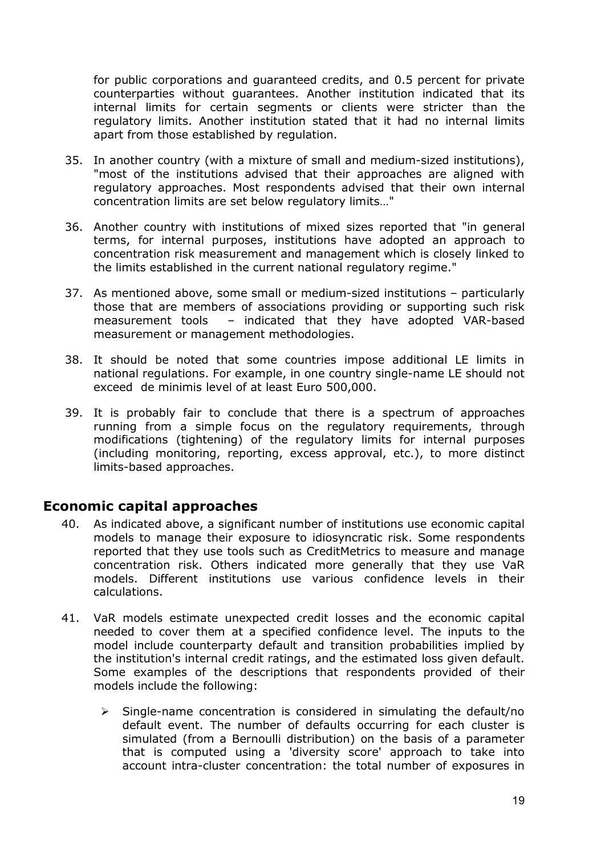for public corporations and guaranteed credits, and 0.5 percent for private counterparties without guarantees. Another institution indicated that its internal limits for certain segments or clients were stricter than the regulatory limits. Another institution stated that it had no internal limits apart from those established by regulation.

- 35. In another country (with a mixture of small and medium-sized institutions), "most of the institutions advised that their approaches are aligned with regulatory approaches. Most respondents advised that their own internal concentration limits are set below regulatory limits…"
- 36. Another country with institutions of mixed sizes reported that "in general terms, for internal purposes, institutions have adopted an approach to concentration risk measurement and management which is closely linked to the limits established in the current national regulatory regime."
- 37. As mentioned above, some small or medium-sized institutions particularly those that are members of associations providing or supporting such risk measurement tools  $-$  indicated that they have adopted VAR-based measurement or management methodologies.
- 38. It should be noted that some countries impose additional LE limits in national regulations. For example, in one country single-name LE should not exceed de minimis level of at least Euro 500,000.
- 39. It is probably fair to conclude that there is a spectrum of approaches running from a simple focus on the regulatory requirements, through modifications (tightening) of the regulatory limits for internal purposes (including monitoring, reporting, excess approval, etc.), to more distinct limits-based approaches.

#### <span id="page-18-0"></span>**Economic capital approaches**

- 40. As indicated above, a significant number of institutions use economic capital models to manage their exposure to idiosyncratic risk. Some respondents reported that they use tools such as CreditMetrics to measure and manage concentration risk. Others indicated more generally that they use VaR models. Different institutions use various confidence levels in their calculations.
- 41. VaR models estimate unexpected credit losses and the economic capital needed to cover them at a specified confidence level. The inputs to the model include counterparty default and transition probabilities implied by the institution's internal credit ratings, and the estimated loss given default. Some examples of the descriptions that respondents provided of their models include the following:
	- $\triangleright$  Single-name concentration is considered in simulating the default/no default event. The number of defaults occurring for each cluster is simulated (from a Bernoulli distribution) on the basis of a parameter that is computed using a 'diversity score' approach to take into account intra-cluster concentration: the total number of exposures in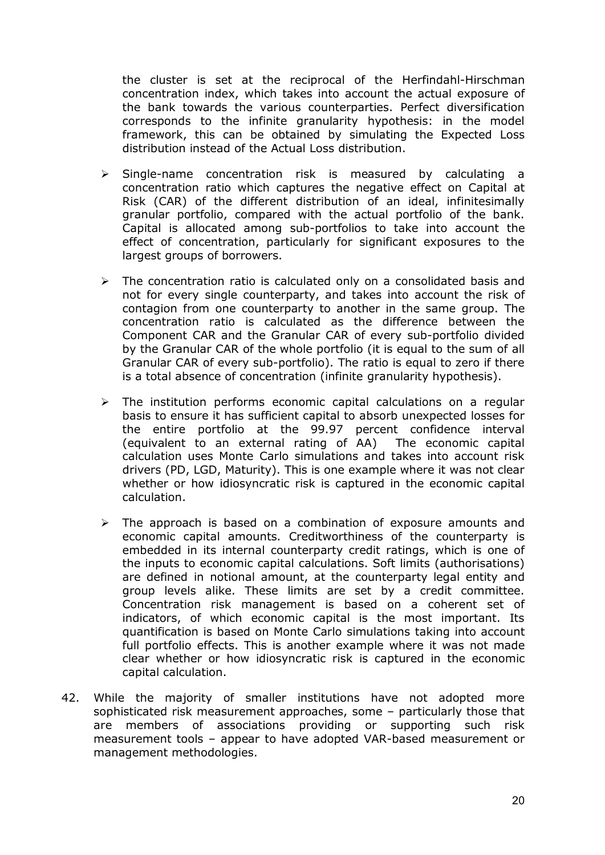the cluster is set at the reciprocal of the Herfindahl-Hirschman concentration index, which takes into account the actual exposure of the bank towards the various counterparties. Perfect diversification corresponds to the infinite granularity hypothesis: in the model framework, this can be obtained by simulating the Expected Loss distribution instead of the Actual Loss distribution.

- $\triangleright$  Single-name concentration risk is measured by calculating a concentration ratio which captures the negative effect on Capital at Risk (CAR) of the different distribution of an ideal, infinitesimally granular portfolio, compared with the actual portfolio of the bank. Capital is allocated among sub-portfolios to take into account the effect of concentration, particularly for significant exposures to the largest groups of borrowers.
- $\triangleright$  The concentration ratio is calculated only on a consolidated basis and not for every single counterparty, and takes into account the risk of contagion from one counterparty to another in the same group. The concentration ratio is calculated as the difference between the Component CAR and the Granular CAR of every sub-portfolio divided by the Granular CAR of the whole portfolio (it is equal to the sum of all Granular CAR of every sub-portfolio). The ratio is equal to zero if there is a total absence of concentration (infinite granularity hypothesis).
- $\triangleright$  The institution performs economic capital calculations on a regular basis to ensure it has sufficient capital to absorb unexpected losses for the entire portfolio at the 99.97 percent confidence interval (equivalent to an external rating of AA) The economic capital calculation uses Monte Carlo simulations and takes into account risk drivers (PD, LGD, Maturity). This is one example where it was not clear whether or how idiosyncratic risk is captured in the economic capital calculation.
- $\triangleright$  The approach is based on a combination of exposure amounts and economic capital amounts. Creditworthiness of the counterparty is embedded in its internal counterparty credit ratings, which is one of the inputs to economic capital calculations. Soft limits (authorisations) are defined in notional amount, at the counterparty legal entity and group levels alike. These limits are set by a credit committee. Concentration risk management is based on a coherent set of indicators, of which economic capital is the most important. Its quantification is based on Monte Carlo simulations taking into account full portfolio effects. This is another example where it was not made clear whether or how idiosyncratic risk is captured in the economic capital calculation.
- 42. While the majority of smaller institutions have not adopted more sophisticated risk measurement approaches, some – particularly those that are members of associations providing or supporting such risk measurement tools - appear to have adopted VAR-based measurement or management methodologies.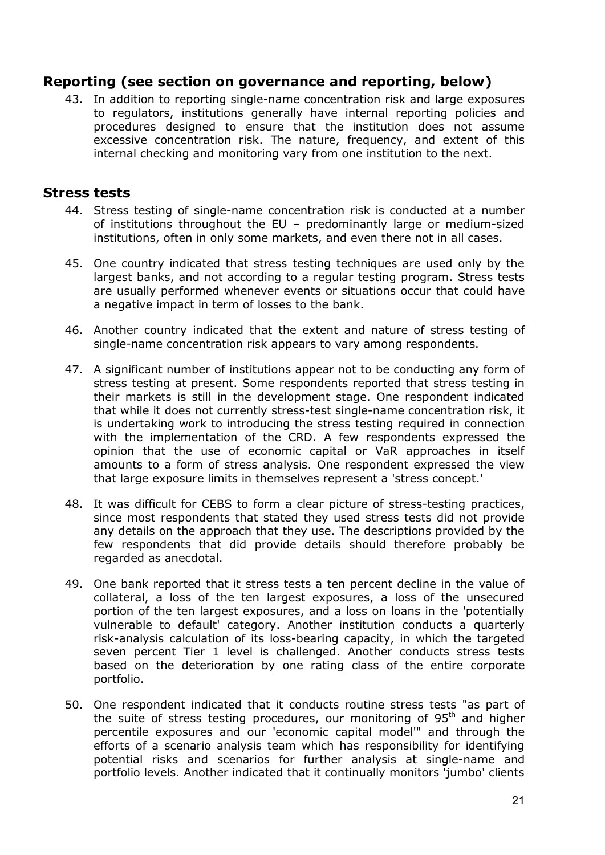#### <span id="page-20-0"></span>**Reporting (see section on governance and reporting, below)**

43. In addition to reporting single-name concentration risk and large exposures to regulators, institutions generally have internal reporting policies and procedures designed to ensure that the institution does not assume excessive concentration risk. The nature, frequency, and extent of this internal checking and monitoring vary from one institution to the next.

#### <span id="page-20-1"></span>**Stress tests**

- 44. Stress testing of single-name concentration risk is conducted at a number of institutions throughout the EU  $-$  predominantly large or medium-sized institutions, often in only some markets, and even there not in all cases.
- 45. One country indicated that stress testing techniques are used only by the largest banks, and not according to a regular testing program. Stress tests are usually performed whenever events or situations occur that could have a negative impact in term of losses to the bank.
- 46. Another country indicated that the extent and nature of stress testing of single-name concentration risk appears to vary among respondents.
- 47. A significant number of institutions appear not to be conducting any form of stress testing at present. Some respondents reported that stress testing in their markets is still in the development stage. One respondent indicated that while it does not currently stress-test single-name concentration risk, it is undertaking work to introducing the stress testing required in connection with the implementation of the CRD. A few respondents expressed the opinion that the use of economic capital or VaR approaches in itself amounts to a form of stress analysis. One respondent expressed the view that large exposure limits in themselves represent a 'stress concept.'
- 48. It was difficult for CEBS to form a clear picture of stress-testing practices, since most respondents that stated they used stress tests did not provide any details on the approach that they use. The descriptions provided by the few respondents that did provide details should therefore probably be regarded as anecdotal.
- 49. One bank reported that it stress tests a ten percent decline in the value of collateral, a loss of the ten largest exposures, a loss of the unsecured portion of the ten largest exposures, and a loss on loans in the 'potentially vulnerable to default' category. Another institution conducts a quarterly risk-analysis calculation of its loss-bearing capacity, in which the targeted seven percent Tier 1 level is challenged. Another conducts stress tests based on the deterioration by one rating class of the entire corporate portfolio.
- 50. One respondent indicated that it conducts routine stress tests "as part of the suite of stress testing procedures, our monitoring of 95<sup>th</sup> and higher percentile exposures and our 'economic capital model'" and through the efforts of a scenario analysis team which has responsibility for identifying potential risks and scenarios for further analysis at single-name and portfolio levels. Another indicated that it continually monitors 'jumbo' clients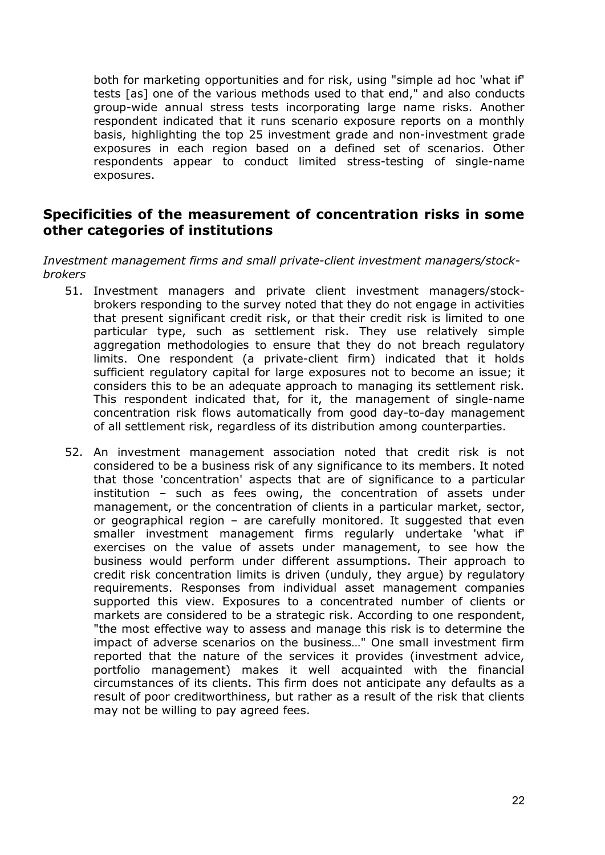both for marketing opportunities and for risk, using "simple ad hoc 'what if' tests [as] one of the various methods used to that end," and also conducts group-wide annual stress tests incorporating large name risks. Another respondent indicated that it runs scenario exposure reports on a monthly basis, highlighting the top 25 investment grade and non-investment grade exposures in each region based on a defined set of scenarios. Other respondents appear to conduct limited stress-testing of single-name exposures.

#### <span id="page-21-0"></span>**Specificities of the measurement of concentration risks in some other categories of institutions**

<span id="page-21-1"></span>Investment management firms and small private-client investment managers/stock*brokers*

- 51. Investment managers and private client investment managers/stock brokers responding to the survey noted that they do not engage in activities that present significant credit risk, or that their credit risk is limited to one particular type, such as settlement risk. They use relatively simple aggregation methodologies to ensure that they do not breach regulatory limits. One respondent (a private-client firm) indicated that it holds sufficient regulatory capital for large exposures not to become an issue; it considers this to be an adequate approach to managing its settlement risk. This respondent indicated that, for it, the management of single-name concentration risk flows automatically from good day-to-day management of all settlement risk, regardless of its distribution among counterparties.
- 52. An investment management association noted that credit risk is not considered to be a business risk of any significance to its members. It noted that those 'concentration' aspects that are of significance to a particular institution – such as fees owing, the concentration of assets under management, or the concentration of clients in a particular market, sector, or geographical region – are carefully monitored. It suggested that even smaller investment management firms regularly undertake 'what if' exercises on the value of assets under management, to see how the business would perform under different assumptions. Their approach to credit risk concentration limits is driven (unduly, they argue) by regulatory requirements. Responses from individual asset management companies supported this view. Exposures to a concentrated number of clients or markets are considered to be a strategic risk. According to one respondent, "the most effective way to assess and manage this risk is to determine the impact of adverse scenarios on the business…" One small investment firm reported that the nature of the services it provides (investment advice, portfolio management) makes it well acquainted with the financial circumstances of its clients. This firm does not anticipate any defaults as a result of poor creditworthiness, but rather as a result of the risk that clients may not be willing to pay agreed fees.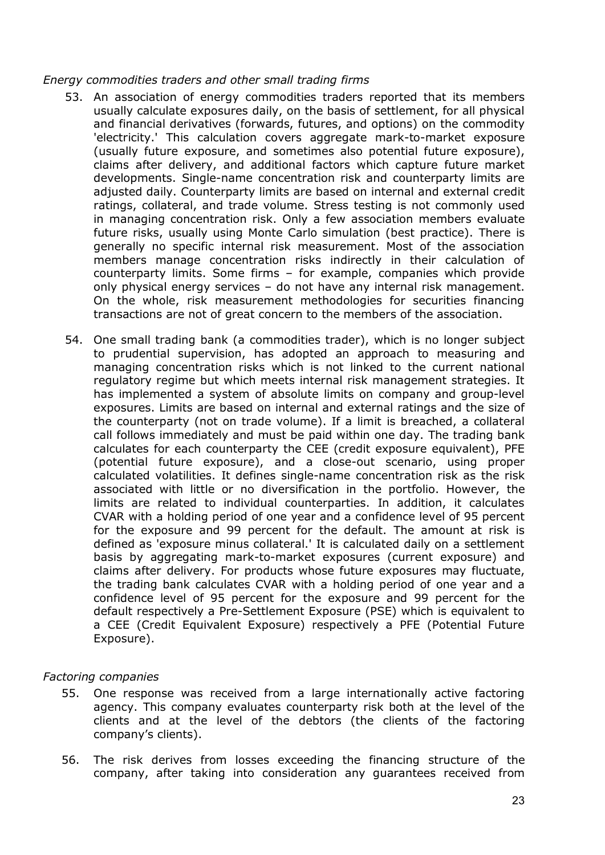#### <span id="page-22-0"></span>*Energy commodities traders and other small trading firms*

- 53. An association of energy commodities traders reported that its members usually calculate exposures daily, on the basis of settlement, for all physical and financial derivatives (forwards, futures, and options) on the commodity 'electricity.' This calculation covers aggregate mark-to-market exposure (usually future exposure, and sometimes also potential future exposure), claims after delivery, and additional factors which capture future market developments. Single-name concentration risk and counterparty limits are adjusted daily. Counterparty limits are based on internal and external credit ratings, collateral, and trade volume. Stress testing is not commonly used in managing concentration risk. Only a few association members evaluate future risks, usually using Monte Carlo simulation (best practice). There is generally no specific internal risk measurement. Most of the association members manage concentration risks indirectly in their calculation of counterparty limits. Some firms – for example, companies which provide only physical energy services – do not have any internal risk management. On the whole, risk measurement methodologies for securities financing transactions are not of great concern to the members of the association.
- 54. One small trading bank (a commodities trader), which is no longer subject to prudential supervision, has adopted an approach to measuring and managing concentration risks which is not linked to the current national regulatory regime but which meets internal risk management strategies. It has implemented a system of absolute limits on company and group-level exposures. Limits are based on internal and external ratings and the size of the counterparty (not on trade volume). If a limit is breached, a collateral call follows immediately and must be paid within one day. The trading bank calculates for each counterparty the CEE (credit exposure equivalent), PFE (potential future exposure), and a close-out scenario, using proper calculated volatilities. It defines singlename concentration risk as the risk associated with little or no diversification in the portfolio. However, the limits are related to individual counterparties. In addition, it calculates CVAR with a holding period of one year and a confidence level of 95 percent for the exposure and 99 percent for the default. The amount at risk is defined as 'exposure minus collateral.' It is calculated daily on a settlement basis by aggregating mark-to-market exposures (current exposure) and claims after delivery. For products whose future exposures may fluctuate, the trading bank calculates CVAR with a holding period of one year and a confidence level of 95 percent for the exposure and 99 percent for the default respectively a Pre-Settlement Exposure (PSE) which is equivalent to a CEE (Credit Equivalent Exposure) respectively a PFE (Potential Future Exposure).

#### <span id="page-22-1"></span>*Factoring companies*

- 55. One response was received from a large internationally active factoring agency. This company evaluates counterparty risk both at the level of the clients and at the level of the debtors (the clients of the factoring company's clients).
- 56. The risk derives from losses exceeding the financing structure of the company, after taking into consideration any guarantees received from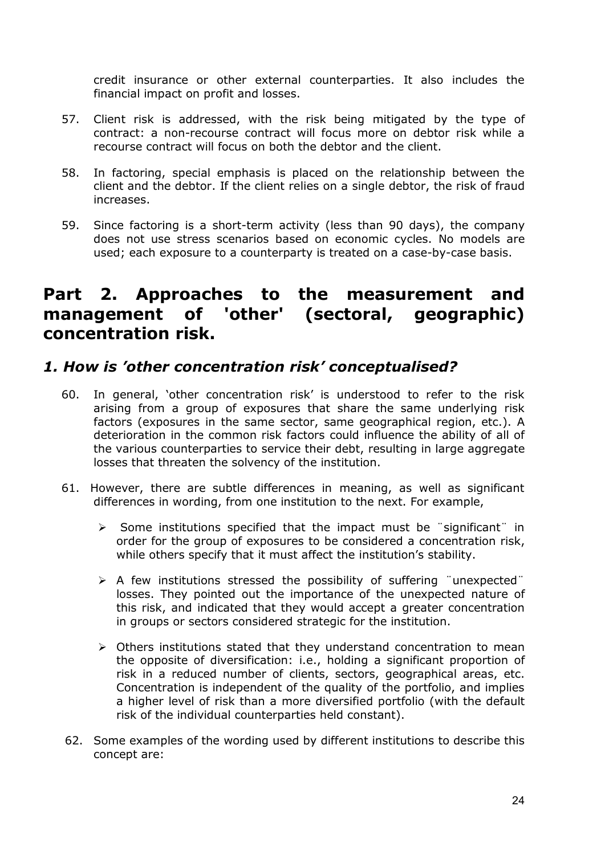credit insurance or other external counterparties. It also includes the financial impact on profit and losses.

- 57. Client risk is addressed, with the risk being mitigated by the type of contract: a non-recourse contract will focus more on debtor risk while a recourse contract will focus on both the debtor and the client.
- 58. In factoring, special emphasis is placed on the relationship between the client and the debtor. If the client relies on a single debtor, the risk of fraud increases.
- 59. Since factoring is a short-term activity (less than 90 days), the company does not use stress scenarios based on economic cycles. No models are used; each exposure to a counterparty is treated on a case-by-case basis.

# <span id="page-23-0"></span>**Part 2. Approaches to the measurement and management of 'other' (sectoral, geographic) concentration risk.**

## <span id="page-23-1"></span>*1. How is 'other concentration risk' conceptualised?*

- 60. In general, 'other concentration risk' is understood to refer to the risk arising from a group of exposures that share the same underlying risk factors (exposures in the same sector, same geographical region, etc.). A deterioration in the common risk factors could influence the ability of all of the various counterparties to service their debt, resulting in large aggregate losses that threaten the solvency of the institution.
- 61. However, there are subtle differences in meaning, as well as significant differences in wording, from one institution to the next. For example,
	- ÿ Some institutions specified that the impact must be ¨significant¨ in order for the group of exposures to be considered a concentration risk, while others specify that it must affect the institution's stability.
	- $\triangleright$  A few institutions stressed the possibility of suffering  $\cdot$  unexpected  $\cdot$ losses. They pointed out the importance of the unexpected nature of this risk, and indicated that they would accept a greater concentration in groups or sectors considered strategic for the institution.
	- $\triangleright$  Others institutions stated that they understand concentration to mean the opposite of diversification: i.e., holding a significant proportion of risk in a reduced number of clients, sectors, geographical areas, etc. Concentration is independent of the quality of the portfolio, and implies a higher level of risk than a more diversified portfolio (with the default risk of the individual counterparties held constant).
- 62. Some examples of the wording used by different institutions to describe this concept are: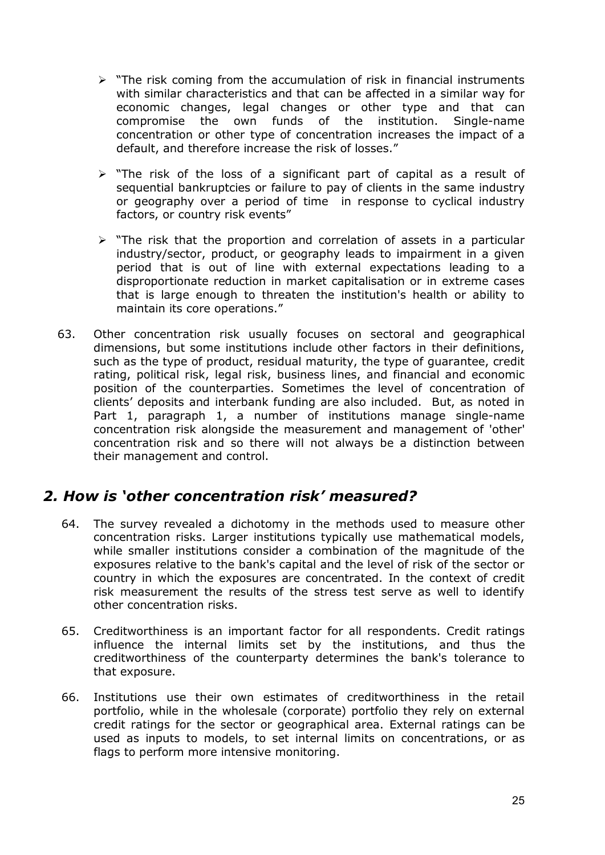- $\triangleright$  "The risk coming from the accumulation of risk in financial instruments with similar characteristics and that can be affected in a similar way for economic changes, legal changes or other type and that can compromise the own funds of the institution. Single-name concentration or other type of concentration increases the impact of a default, and therefore increase the risk of losses."
- $\triangleright$  "The risk of the loss of a significant part of capital as a result of sequential bankruptcies or failure to pay of clients in the same industry or geography over a period of time in response to cyclical industry factors, or country risk events"
- $\triangleright$  "The risk that the proportion and correlation of assets in a particular industry/sector, product, or geography leads to impairment in a given period that is out of line with external expectations leading to a disproportionate reduction in market capitalisation or in extreme cases that is large enough to threaten the institution's health or ability to maintain its core operations."
- 63. Other concentration risk usually focuses on sectoral and geographical dimensions, but some institutions include other factors in their definitions, such as the type of product, residual maturity, the type of guarantee, credit rating, political risk, legal risk, business lines, and financial and economic position of the counterparties. Sometimes the level of concentration of clients' deposits and interbank funding are also included. But, as noted in Part 1, paragraph 1, a number of institutions manage single-name concentration risk alongside the measurement and management of 'other' concentration risk and so there will not always be a distinction between their management and control.

# <span id="page-24-0"></span>*2. How is 'other concentration risk' measured?*

- 64. The survey revealed a dichotomy in the methods used to measure other concentration risks. Larger institutions typically use mathematical models, while smaller institutions consider a combination of the magnitude of the exposures relative to the bank's capital and the level of risk of the sector or country in which the exposures are concentrated. In the context of credit risk measurement the results of the stress test serve as well to identify other concentration risks.
- 65. Creditworthiness is an important factor for all respondents. Credit ratings influence the internal limits set by the institutions, and thus the creditworthiness of the counterparty determines the bank's tolerance to that exposure.
- 66. Institutions use their own estimates of creditworthiness in the retail portfolio, while in the wholesale (corporate) portfolio they rely on external credit ratings for the sector or geographical area. External ratings can be used as inputs to models, to set internal limits on concentrations, or as flags to perform more intensive monitoring.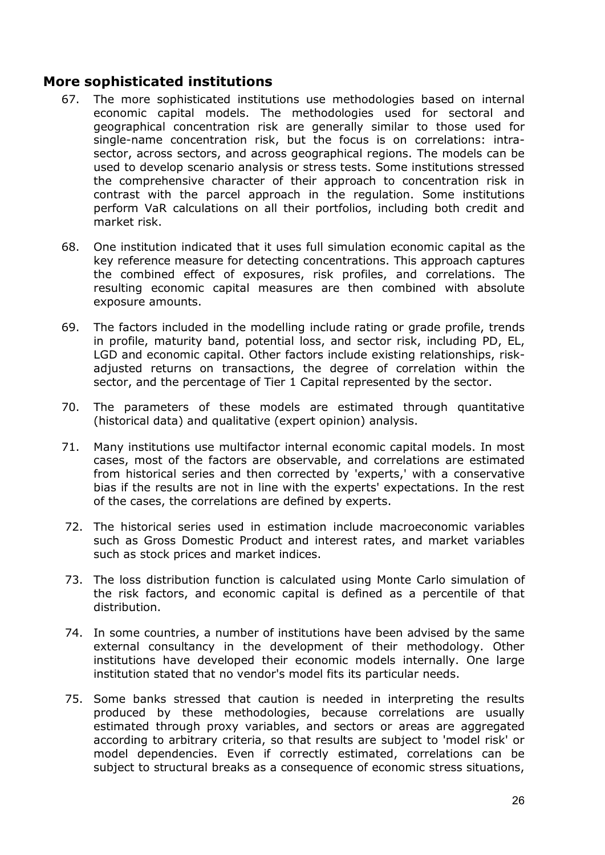#### <span id="page-25-0"></span>**More sophisticated institutions**

- 67. The more sophisticated institutions use methodologies based on internal economic capital models. The methodologies used for sectoral and geographical concentration risk are generally similar to those used for single-name concentration risk, but the focus is on correlations: intrasector, across sectors, and across geographical regions. The models can be used to develop scenario analysis or stress tests. Some institutions stressed the comprehensive character of their approach to concentration risk in contrast with the parcel approach in the regulation. Some institutions perform VaR calculations on all their portfolios, including both credit and market risk.
- 68. One institution indicated that it uses full simulation economic capital as the key reference measure for detecting concentrations. This approach captures the combined effect of exposures, risk profiles, and correlations. The resulting economic capital measures are then combined with absolute exposure amounts.
- 69. The factors included in the modelling include rating or grade profile, trends in profile, maturity band, potential loss, and sector risk, including PD, EL, LGD and economic capital. Other factors include existing relationships, risk adjusted returns on transactions, the degree of correlation within the sector, and the percentage of Tier 1 Capital represented by the sector.
- 70. The parameters of these models are estimated through quantitative (historical data) and qualitative (expert opinion) analysis.
- 71. Many institutions use multifactor internal economic capital models. In most cases, most of the factors are observable, and correlations are estimated from historical series and then corrected by 'experts,' with a conservative bias if the results are not in line with the experts' expectations. In the rest of the cases, the correlations are defined by experts.
- 72. The historical series used in estimation include macroeconomic variables such as Gross Domestic Product and interest rates, and market variables such as stock prices and market indices.
- 73. The loss distribution function is calculated using Monte Carlo simulation of the risk factors, and economic capital is defined as a percentile of that distribution.
- 74. In some countries, a number of institutions have been advised by the same external consultancy in the development of their methodology. Other institutions have developed their economic models internally. One large institution stated that no vendor's model fits its particular needs.
- 75. Some banks stressed that caution is needed in interpreting the results produced by these methodologies, because correlations are usually estimated through proxy variables, and sectors or areas are aggregated according to arbitrary criteria, so that results are subject to 'model risk' or model dependencies. Even if correctly estimated, correlations can be subject to structural breaks as a consequence of economic stress situations,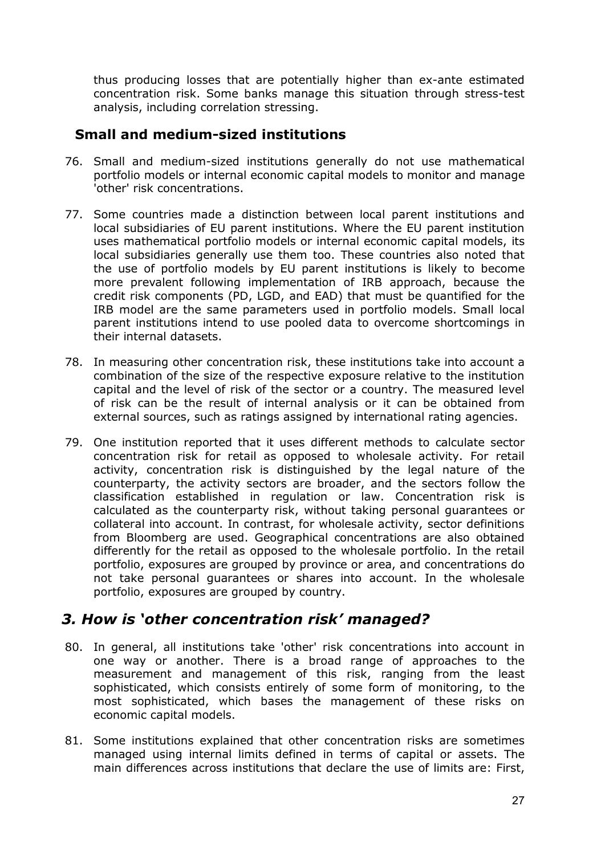thus producing losses that are potentially higher than ex-ante estimated concentration risk. Some banks manage this situation through stress-test analysis, including correlation stressing.

## <span id="page-26-0"></span>**Small** and medium-sized institutions

- 76. Small and medium-sized institutions generally do not use mathematical portfolio models or internal economic capital models to monitor and manage 'other' risk concentrations.
- 77. Some countries made a distinction between local parent institutions and local subsidiaries of EU parent institutions. Where the EU parent institution uses mathematical portfolio models or internal economic capital models, its local subsidiaries generally use them too. These countries also noted that the use of portfolio models by EU parent institutions is likely to become more prevalent following implementation of IRB approach, because the credit risk components (PD, LGD, and EAD) that must be quantified for the IRB model are the same parameters used in portfolio models. Small local parent institutions intend to use pooled data to overcome shortcomings in their internal datasets.
- 78. In measuring other concentration risk, these institutions take into account a combination of the size of the respective exposure relative to the institution capital and the level of risk of the sector or a country. The measured level of risk can be the result of internal analysis or it can be obtained from external sources, such as ratings assigned by international rating agencies.
- 79. One institution reported that it uses different methods to calculate sector concentration risk for retail as opposed to wholesale activity. For retail activity, concentration risk is distinguished by the legal nature of the counterparty, the activity sectors are broader, and the sectors follow the classification established in regulation or law. Concentration risk is calculated as the counterparty risk, without taking personal guarantees or collateral into account. In contrast, for wholesale activity, sector definitions from Bloomberg are used. Geographical concentrations are also obtained differently for the retail as opposed to the wholesale portfolio. In the retail portfolio, exposures are grouped by province or area, and concentrations do not take personal guarantees or shares into account. In the wholesale portfolio, exposures are grouped by country.

# <span id="page-26-1"></span>*3. How is 'other concentration risk' managed?*

- 80. In general, all institutions take 'other' risk concentrations into account in one way or another. There is a broad range of approaches to the measurement and management of this risk, ranging from the least sophisticated, which consists entirely of some form of monitoring, to the most sophisticated, which bases the management of these risks on economic capital models.
- 81. Some institutions explained that other concentration risks are sometimes managed using internal limits defined in terms of capital or assets. The main differences across institutions that declare the use of limits are: First,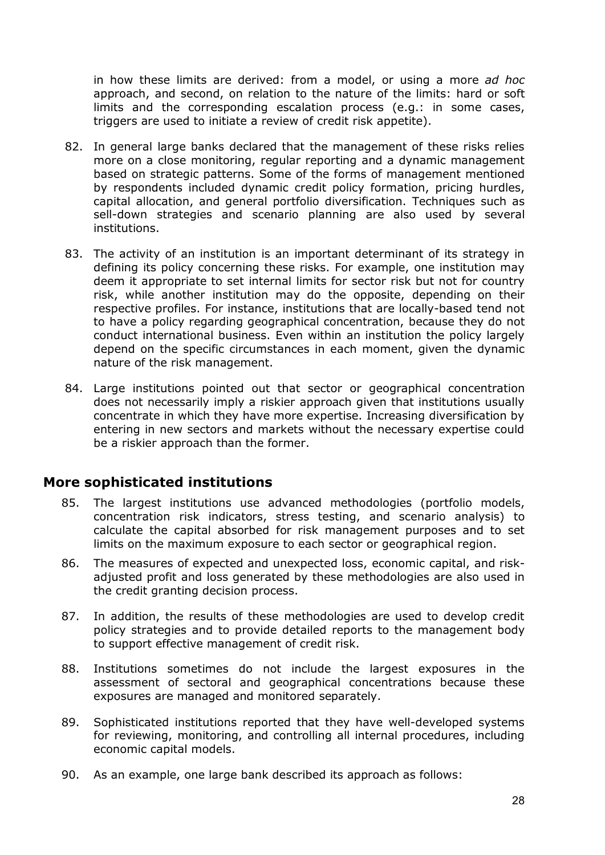in how these limits are derived: from a model, or using a more *ad hoc* approach, and second, on relation to the nature of the limits: hard or soft limits and the corresponding escalation process (e.g.: in some cases, triggers are used to initiate a review of credit risk appetite).

- 82. In general large banks declared that the management of these risks relies more on a close monitoring, regular reporting and a dynamic management based on strategic patterns. Some of the forms of management mentioned by respondents included dynamic credit policy formation, pricing hurdles, capital allocation, and general portfolio diversification. Techniques such as sell-down strategies and scenario planning are also used by several institutions.
- 83. The activity of an institution is an important determinant of its strategy in defining its policy concerning these risks. For example, one institution may deem it appropriate to set internal limits for sector risk but not for country risk, while another institution may do the opposite, depending on their respective profiles. For instance, institutions that are locally-based tend not to have a policy regarding geographical concentration, because they do not conduct international business. Even within an institution the policy largely depend on the specific circumstances in each moment, given the dynamic nature of the risk management.
- 84. Large institutions pointed out that sector or geographical concentration does not necessarily imply a riskier approach given that institutions usually concentrate in which they have more expertise. Increasing diversification by entering in new sectors and markets without the necessary expertise could be a riskier approach than the former.

#### <span id="page-27-0"></span>**More sophisticated institutions**

- 85. The largest institutions use advanced methodologies (portfolio models, concentration risk indicators, stress testing, and scenario analysis) to calculate the capital absorbed for risk management purposes and to set limits on the maximum exposure to each sector or geographical region.
- 86. The measures of expected and unexpected loss, economic capital, and risk adjusted profit and loss generated by these methodologies are also used in the credit granting decision process.
- 87. In addition, the results of these methodologies are used to develop credit policy strategies and to provide detailed reports to the management body to support effective management of credit risk.
- 88. Institutions sometimes do not include the largest exposures in the assessment of sectoral and geographical concentrations because these exposures are managed and monitored separately.
- 89. Sophisticated institutions reported that they have well-developed systems for reviewing, monitoring, and controlling all internal procedures, including economic capital models.
- 90. As an example, one large bank described its approach as follows: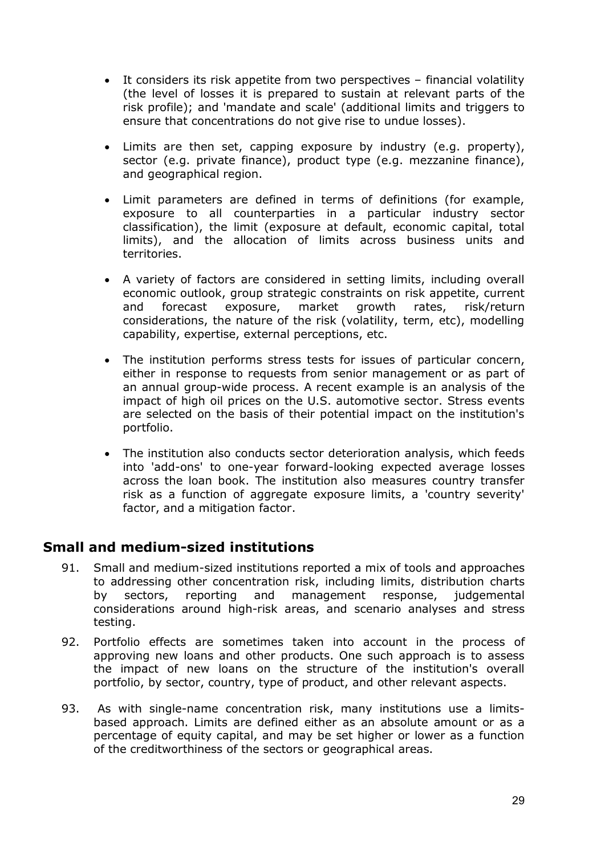- It considers its risk appetite from two perspectives financial volatility (the level of losses it is prepared to sustain at relevant parts of the risk profile); and 'mandate and scale' (additional limits and triggers to ensure that concentrations do not give rise to undue losses).
- · Limits are then set, capping exposure by industry (e.g. property), sector (e.g. private finance), product type (e.g. mezzanine finance), and geographical region.
- Limit parameters are defined in terms of definitions (for example, exposure to all counterparties in a particular industry sector classification), the limit (exposure at default, economic capital, total limits), and the allocation of limits across business units and territories.
- · A variety of factors are considered in setting limits, including overall economic outlook, group strategic constraints on risk appetite, current and forecast exposure, market growth rates, risk/return considerations, the nature of the risk (volatility, term, etc), modelling capability, expertise, external perceptions, etc.
- The institution performs stress tests for issues of particular concern, either in response to requests from senior management or as part of an annual group-wide process. A recent example is an analysis of the impact of high oil prices on the U.S. automotive sector. Stress events are selected on the basis of their potential impact on the institution's portfolio.
- The institution also conducts sector deterioration analysis, which feeds into 'add-ons' to one-year forward-looking expected average losses across the loan book. The institution also measures country transfer risk as a function of aggregate exposure limits, a 'country severity' factor, and a mitigation factor.

#### <span id="page-28-0"></span>**Small** and medium-sized institutions

- 91. Small and medium-sized institutions reported a mix of tools and approaches to addressing other concentration risk, including limits, distribution charts by sectors, reporting and management response, judgemental considerations around high-risk areas, and scenario analyses and stress testing.
- 92. Portfolio effects are sometimes taken into account in the process of approving new loans and other products. One such approach is to assess the impact of new loans on the structure of the institution's overall portfolio, by sector, country, type of product, and other relevant aspects.
- 93. As with single-name concentration risk, many institutions use a limitsbased approach. Limits are defined either as an absolute amount or as a percentage of equity capital, and may be set higher or lower as a function of the creditworthiness of the sectors or geographical areas.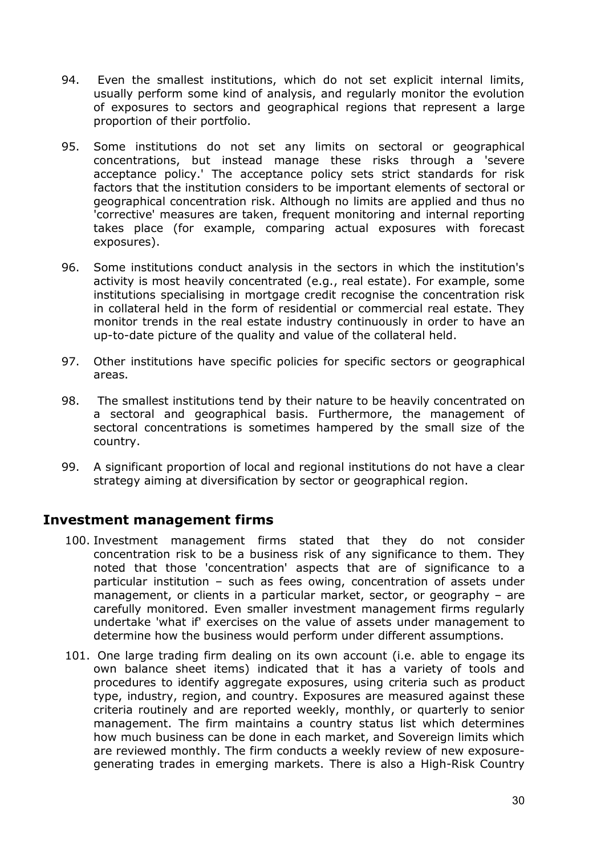- 94. Even the smallest institutions, which do not set explicit internal limits, usually perform some kind of analysis, and regularly monitor the evolution of exposures to sectors and geographical regions that represent a large proportion of their portfolio.
- 95. Some institutions do not set any limits on sectoral or geographical concentrations, but instead manage these risks through a 'severe acceptance policy.' The acceptance policy sets strict standards for risk factors that the institution considers to be important elements of sectoral or geographical concentration risk. Although no limits are applied and thus no 'corrective' measures are taken, frequent monitoring and internal reporting takes place (for example, comparing actual exposures with forecast exposures).
- 96. Some institutions conduct analysis in the sectors in which the institution's activity is most heavily concentrated (e.g., real estate). For example, some institutions specialising in mortgage credit recognise the concentration risk in collateral held in the form of residential or commercial real estate. They monitor trends in the real estate industry continuously in order to have an up-to-date picture of the quality and value of the collateral held.
- 97. Other institutions have specific policies for specific sectors or geographical areas.
- 98. The smallest institutions tend by their nature to be heavily concentrated on a sectoral and geographical basis. Furthermore, the management of sectoral concentrations is sometimes hampered by the small size of the country.
- 99. A significant proportion of local and regional institutions do not have a clear strategy aiming at diversification by sector or geographical region.

#### <span id="page-29-0"></span>**Investment management firms**

- 100. Investment management firms stated that they do not consider concentration risk to be a business risk of any significance to them. They noted that those 'concentration' aspects that are of significance to a particular institution – such as fees owing, concentration of assets under management, or clients in a particular market, sector, or geography – are carefully monitored. Even smaller investment management firms regularly undertake 'what if' exercises on the value of assets under management to determine how the business would perform under different assumptions.
- 101. One large trading firm dealing on its own account (i.e. able to engage its own balance sheet items) indicated that it has a variety of tools and procedures to identify aggregate exposures, using criteria such as product type, industry, region, and country. Exposures are measured against these criteria routinely and are reported weekly, monthly, or quarterly to senior management. The firm maintains a country status list which determines how much business can be done in each market, and Sovereign limits which are reviewed monthly. The firm conducts a weekly review of new exposure generating trades in emerging markets. There is also a High-Risk Country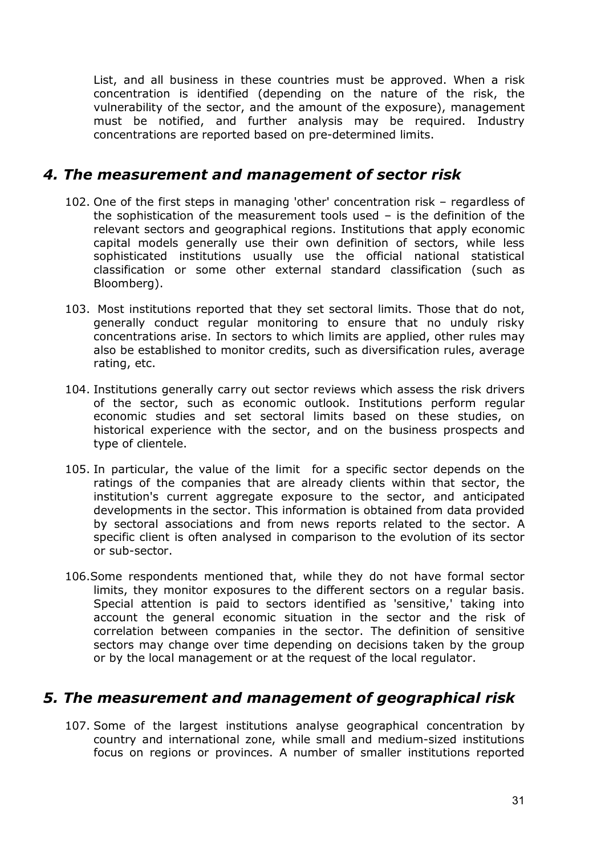List, and all business in these countries must be approved. When a risk concentration is identified (depending on the nature of the risk, the vulnerability of the sector, and the amount of the exposure), management must be notified, and further analysis may be required. Industry concentrations are reported based on pre-determined limits.

## <span id="page-30-0"></span>*4. The measurement and management of sector risk*

- 102. One of the first steps in managing 'other' concentration risk regardless of the sophistication of the measurement tools used – is the definition of the relevant sectors and geographical regions. Institutions that apply economic capital models generally use their own definition of sectors, while less sophisticated institutions usually use the official national statistical classification or some other external standard classification (such as Bloomberg).
- 103. Most institutions reported that they set sectoral limits. Those that do not, generally conduct regular monitoring to ensure that no unduly risky concentrations arise. In sectors to which limits are applied, other rules may also be established to monitor credits, such as diversification rules, average rating, etc.
- 104. Institutions generally carry out sector reviews which assess the risk drivers of the sector, such as economic outlook. Institutions perform regular economic studies and set sectoral limits based on these studies, on historical experience with the sector, and on the business prospects and type of clientele.
- 105. In particular, the value of the limit for a specific sector depends on the ratings of the companies that are already clients within that sector, the institution's current aggregate exposure to the sector, and anticipated developments in the sector. This information is obtained from data provided by sectoral associations and from news reports related to the sector. A specific client is often analysed in comparison to the evolution of its sector or sub-sector.
- 106.Some respondents mentioned that, while they do not have formal sector limits, they monitor exposures to the different sectors on a regular basis. Special attention is paid to sectors identified as 'sensitive,' taking into account the general economic situation in the sector and the risk of correlation between companies in the sector. The definition of sensitive sectors may change over time depending on decisions taken by the group or by the local management or at the request of the local regulator.

# <span id="page-30-1"></span>*5. The measurement and management of geographical risk*

107. Some of the largest institutions analyse geographical concentration by country and international zone, while small and medium-sized institutions focus on regions or provinces. A number of smaller institutions reported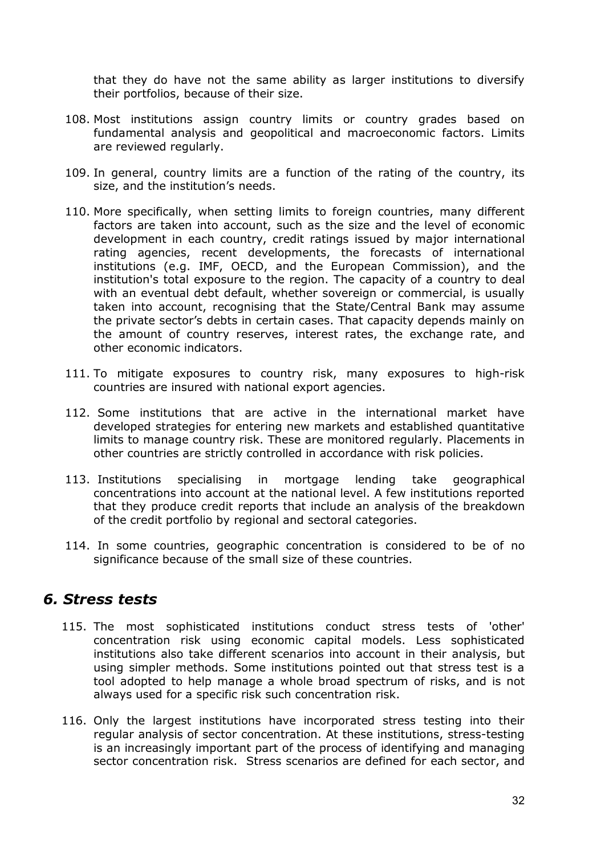that they do have not the same ability as larger institutions to diversify their portfolios, because of their size.

- 108. Most institutions assign country limits or country grades based on fundamental analysis and geopolitical and macroeconomic factors. Limits are reviewed regularly.
- 109. In general, country limits are a function of the rating of the country, its size, and the institution's needs.
- 110. More specifically, when setting limits to foreign countries, many different factors are taken into account, such as the size and the level of economic development in each country, credit ratings issued by major international rating agencies, recent developments, the forecasts of international institutions (e.g. IMF, OECD, and the European Commission), and the institution's total exposure to the region. The capacity of a country to deal with an eventual debt default, whether sovereign or commercial, is usually taken into account, recognising that the State/Central Bank may assume the private sector's debts in certain cases. That capacity depends mainly on the amount of country reserves, interest rates, the exchange rate, and other economic indicators.
- 111. To mitigate exposures to country risk, many exposures to high-risk countries are insured with national export agencies.
- 112. Some institutions that are active in the international market have developed strategies for entering new markets and established quantitative limits to manage country risk. These are monitored regularly. Placements in other countries are strictly controlled in accordance with risk policies.
- 113. Institutions specialising in mortgage lending take geographical concentrations into account at the national level. A few institutions reported that they produce credit reports that include an analysis of the breakdown of the credit portfolio by regional and sectoral categories.
- 114. In some countries, geographic concentration is considered to be of no significance because of the small size of these countries.

#### <span id="page-31-0"></span>*6. Stress tests*

- 115. The most sophisticated institutions conduct stress tests of 'other' concentration risk using economic capital models. Less sophisticated institutions also take different scenarios into account in their analysis, but using simpler methods. Some institutions pointed out that stress test is a tool adopted to help manage a whole broad spectrum of risks, and is not always used for a specific risk such concentration risk.
- 116. Only the largest institutions have incorporated stress testing into their regular analysis of sector concentration. At these institutions, stress-testing is an increasingly important part of the process of identifying and managing sector concentration risk. Stress scenarios are defined for each sector, and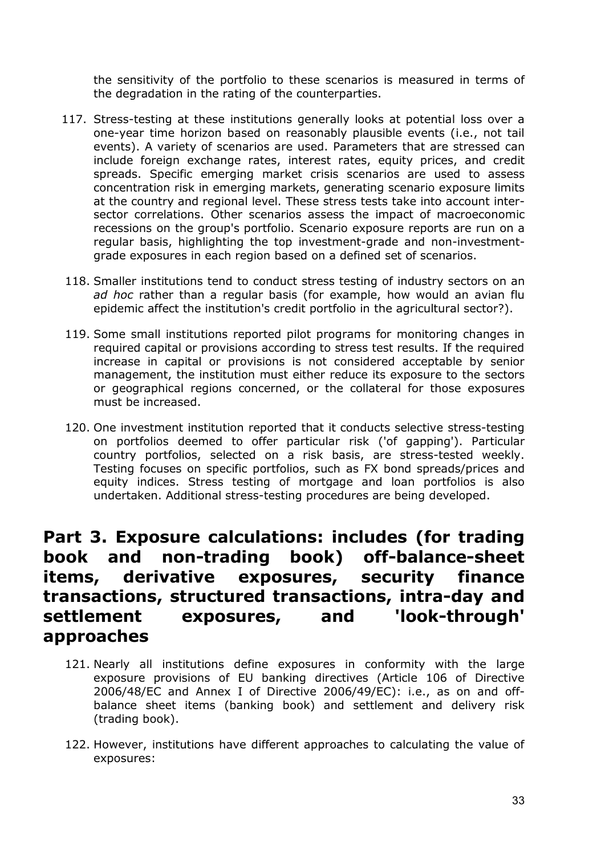the sensitivity of the portfolio to these scenarios is measured in terms of the degradation in the rating of the counterparties.

- 117. Stress-testing at these institutions generally looks at potential loss over a one-year time horizon based on reasonably plausible events (i.e., not tail events). A variety of scenarios are used. Parameters that are stressed can include foreign exchange rates, interest rates, equity prices, and credit spreads. Specific emerging market crisis scenarios are used to assess concentration risk in emerging markets, generating scenario exposure limits at the country and regional level. These stress tests take into account inter sector correlations. Other scenarios assess the impact of macroeconomic recessions on the group's portfolio. Scenario exposure reports are run on a regular basis, highlighting the top investment-grade and non-investmentgrade exposures in each region based on a defined set of scenarios.
- 118. Smaller institutions tend to conduct stress testing of industry sectors on an *ad hoc* rather than a regular basis (for example, how would an avian flu epidemic affect the institution's credit portfolio in the agricultural sector?).
- 119. Some small institutions reported pilot programs for monitoring changes in required capital or provisions according to stress test results. If the required increase in capital or provisions is not considered acceptable by senior management, the institution must either reduce its exposure to the sectors or geographical regions concerned, or the collateral for those exposures must be increased.
- 120. One investment institution reported that it conducts selective stress-testing on portfolios deemed to offer particular risk ('of gapping'). Particular country portfolios, selected on a risk basis, are stress-tested weekly. Testing focuses on specific portfolios, such as FX bond spreads/prices and equity indices. Stress testing of mortgage and loan portfolios is also undertaken. Additional stress-testing procedures are being developed.

# <span id="page-32-0"></span>**Part 3. Exposure calculations: includes (for trading book** and non-trading book) off-balance-sheet **items, derivative exposures, security finance** transactions, structured transactions, intra-day and  $setlement$  exposures, and 'look-through' **approaches**

- 121. Nearly all institutions define exposures in conformity with the large exposure provisions of EU banking directives (Article 106 of Directive 2006/48/EC and Annex I of Directive 2006/49/EC): i.e., as on and off balance sheet items (banking book) and settlement and delivery risk (trading book).
- 122. However, institutions have different approaches to calculating the value of exposures: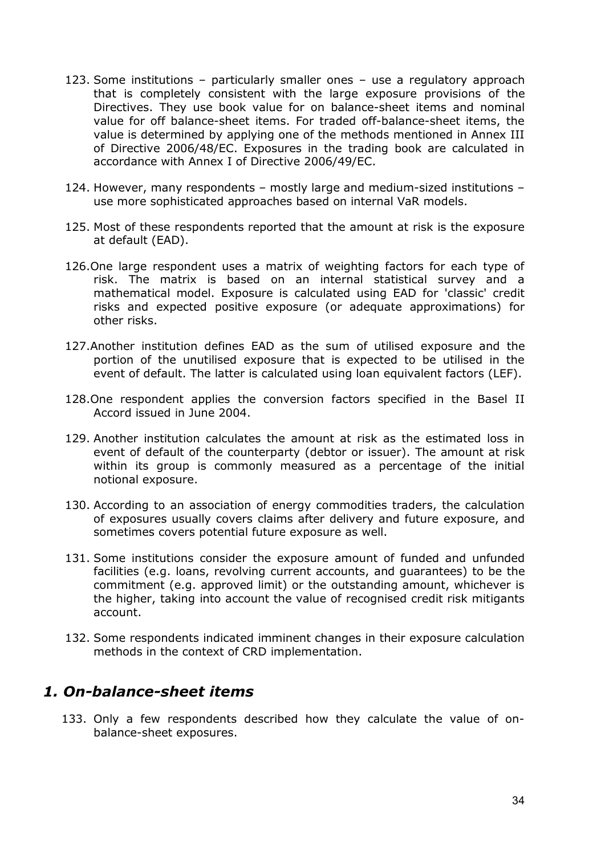- 123. Some institutions particularly smaller ones use a regulatory approach that is completely consistent with the large exposure provisions of the Directives. They use book value for on balance-sheet items and nominal value for off balance-sheet items. For traded off-balance-sheet items, the value is determined by applying one of the methods mentioned in Annex III of Directive 2006/48/EC. Exposures in the trading book are calculated in accordance with Annex I of Directive 2006/49/EC.
- 124. However, many respondents mostly large and medium-sized institutions use more sophisticated approaches based on internal VaR models.
- 125. Most of these respondents reported that the amount at risk is the exposure at default (EAD).
- 126. One large respondent uses a matrix of weighting factors for each type of risk. The matrix is based on an internal statistical survey and a mathematical model. Exposure is calculated using EAD for 'classic' credit risks and expected positive exposure (or adequate approximations) for other risks.
- 127.Another institution defines EAD as the sum of utilised exposure and the portion of the unutilised exposure that is expected to be utilised in the event of default. The latter is calculated using loan equivalent factors (LEF).
- 128.One respondent applies the conversion factors specified in the Basel II Accord issued in June 2004.
- 129. Another institution calculates the amount at risk as the estimated loss in event of default of the counterparty (debtor or issuer). The amount at risk within its group is commonly measured as a percentage of the initial notional exposure.
- 130. According to an association of energy commodities traders, the calculation of exposures usually covers claims after delivery and future exposure, and sometimes covers potential future exposure as well.
- 131. Some institutions consider the exposure amount of funded and unfunded facilities (e.g. loans, revolving current accounts, and guarantees) to be the commitment (e.g. approved limit) or the outstanding amount, whichever is the higher, taking into account the value of recognised credit risk mitigants account.
- 132. Some respondents indicated imminent changes in their exposure calculation methods in the context of CRD implementation.

## <span id="page-33-0"></span>1. On-balance-sheet items

133. Only a few respondents described how they calculate the value of onbalance-sheet exposures.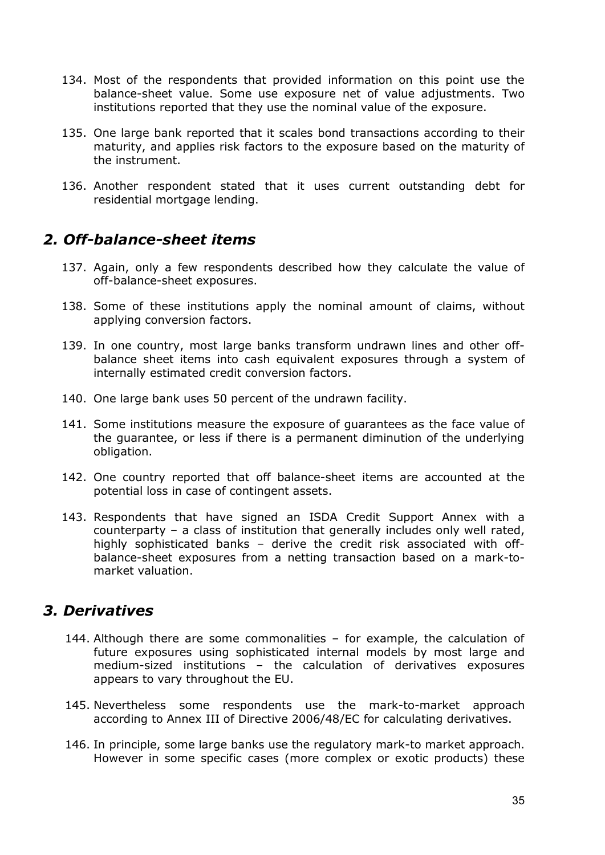- 134. Most of the respondents that provided information on this point use the balance-sheet value. Some use exposure net of value adjustments. Two institutions reported that they use the nominal value of the exposure.
- 135. One large bank reported that it scales bond transactions according to their maturity, and applies risk factors to the exposure based on the maturity of the instrument.
- 136. Another respondent stated that it uses current outstanding debt for residential mortgage lending.

### <span id="page-34-0"></span>2. Off-balance-sheet items

- 137. Again, only a few respondents described how they calculate the value of off-balance-sheet exposures.
- 138. Some of these institutions apply the nominal amount of claims, without applying conversion factors.
- 139. In one country, most large banks transform undrawn lines and other off balance sheet items into cash equivalent exposures through a system of internally estimated credit conversion factors.
- 140. One large bank uses 50 percent of the undrawn facility.
- 141. Some institutions measure the exposure of guarantees as the face value of the guarantee, or less if there is a permanent diminution of the underlying obligation.
- 142. One country reported that off balance-sheet items are accounted at the potential loss in case of contingent assets.
- 143. Respondents that have signed an ISDA Credit Support Annex with a counterparty – a class of institution that generally includes only well rated, highly sophisticated banks - derive the credit risk associated with offbalance-sheet exposures from a netting transaction based on a mark-tomarket valuation.

## <span id="page-34-1"></span>*3. Derivatives*

- 144. Although there are some commonalities for example, the calculation of future exposures using sophisticated internal models by most large and  $median\text{-}sized$  institutions  $-$  the calculation of derivatives exposures appears to vary throughout the EU.
- 145. Nevertheless some respondents use the mark-to-market approach according to Annex III of Directive 2006/48/EC for calculating derivatives.
- 146. In principle, some large banks use the regulatory mark-to market approach. However in some specific cases (more complex or exotic products) these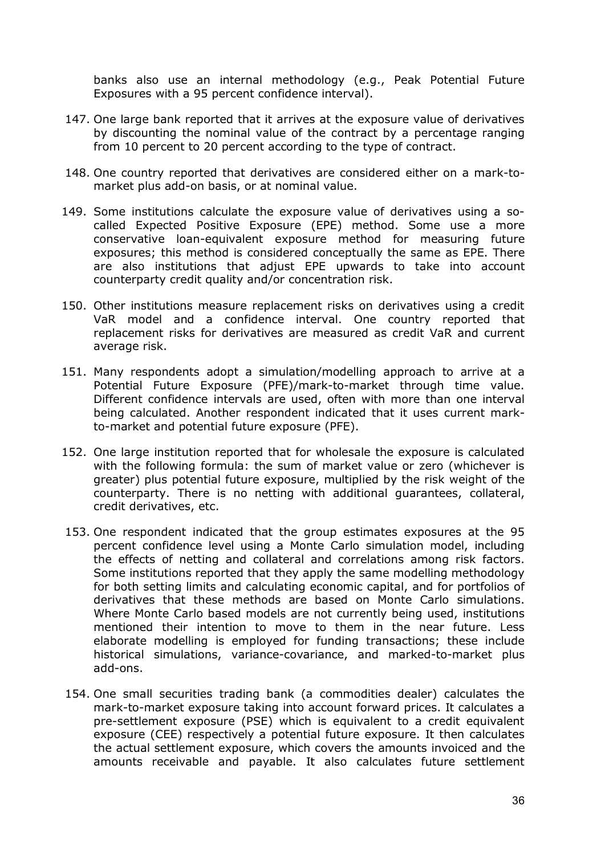banks also use an internal methodology (e.g., Peak Potential Future Exposures with a 95 percent confidence interval).

- 147. One large bank reported that it arrives at the exposure value of derivatives by discounting the nominal value of the contract by a percentage ranging from 10 percent to 20 percent according to the type of contract.
- 148. One country reported that derivatives are considered either on a mark-tomarket plus add-on basis, or at nominal value.
- 149. Some institutions calculate the exposure value of derivatives using a so called Expected Positive Exposure (EPE) method. Some use a more conservative loan-equivalent exposure method for measuring future exposures; this method is considered conceptually the same as EPE. There are also institutions that adjust EPE upwards to take into account counterparty credit quality and/or concentration risk.
- 150. Other institutions measure replacement risks on derivatives using a credit VaR model and a confidence interval. One country reported that replacement risks for derivatives are measured as credit VaR and current average risk.
- 151. Many respondents adopt a simulation/modelling approach to arrive at a Potential Future Exposure (PFE)/mark-to-market through time value. Different confidence intervals are used, often with more than one interval being calculated. Another respondent indicated that it uses current mark to-market and potential future exposure (PFE).
- 152. One large institution reported that for wholesale the exposure is calculated with the following formula: the sum of market value or zero (whichever is greater) plus potential future exposure, multiplied by the risk weight of the counterparty. There is no netting with additional guarantees, collateral, credit derivatives, etc.
- 153. One respondent indicated that the group estimates exposures at the 95 percent confidence level using a Monte Carlo simulation model, including the effects of netting and collateral and correlations among risk factors. Some institutions reported that they apply the same modelling methodology for both setting limits and calculating economic capital, and for portfolios of derivatives that these methods are based on Monte Carlo simulations. Where Monte Carlo based models are not currently being used, institutions mentioned their intention to move to them in the near future. Less elaborate modelling is employed for funding transactions; these include historical simulations, variance-covariance, and marked-to-market plus add-ons.
- 154. One small securities trading bank (a commodities dealer) calculates the mark-to-market exposure taking into account forward prices. It calculates a presettlement exposure (PSE) which is equivalent to a credit equivalent exposure (CEE) respectively a potential future exposure. It then calculates the actual settlement exposure, which covers the amounts invoiced and the amounts receivable and payable. It also calculates future settlement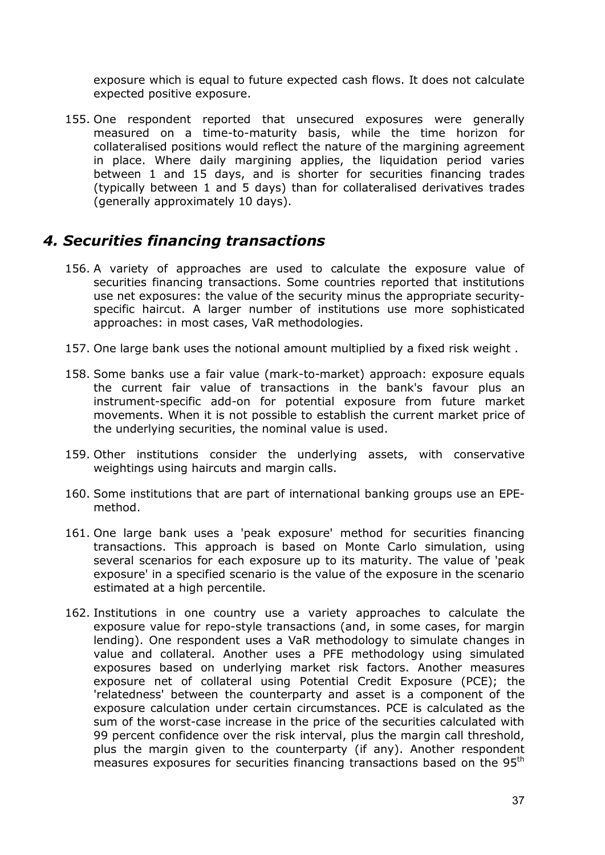exposure which is equal to future expected cash flows. It does not calculate expected positive exposure.

155. One respondent reported that unsecured exposures were generally measured on a time-to-maturity basis, while the time horizon for collateralised positions would reflect the nature of the margining agreement in place. Where daily margining applies, the liquidation period varies between 1 and 15 days, and is shorter for securities financing trades (typically between 1 and 5 days) than for collateralised derivatives trades (generally approximately 10 days).

## <span id="page-36-0"></span>*4. Securities financing transactions*

- 156. A variety of approaches are used to calculate the exposure value of securities financing transactions. Some countries reported that institutions use net exposures: the value of the security minus the appropriate security specific haircut. A larger number of institutions use more sophisticated approaches: in most cases, VaR methodologies.
- 157. One large bank uses the notional amount multiplied by a fixed risk weight .
- 158. Some banks use a fair value (mark-to-market) approach: exposure equals the current fair value of transactions in the bank's favour plus an instrument-specific add-on for potential exposure from future market movements. When it is not possible to establish the current market price of the underlying securities, the nominal value is used.
- 159. Other institutions consider the underlying assets, with conservative weightings using haircuts and margin calls.
- 160. Some institutions that are part of international banking groups use an EPE method.
- 161. One large bank uses a 'peak exposure' method for securities financing transactions. This approach is based on Monte Carlo simulation, using several scenarios for each exposure up to its maturity. The value of 'peak exposure' in a specified scenario is the value of the exposure in the scenario estimated at a high percentile.
- 162. Institutions in one country use a variety approaches to calculate the exposure value for repo-style transactions (and, in some cases, for margin lending). One respondent uses a VaR methodology to simulate changes in value and collateral. Another uses a PFE methodology using simulated exposures based on underlying market risk factors. Another measures exposure net of collateral using Potential Credit Exposure (PCE); the 'relatedness' between the counterparty and asset is a component of the exposure calculation under certain circumstances. PCE is calculated as the sum of the worst-case increase in the price of the securities calculated with 99 percent confidence over the risk interval, plus the margin call threshold, plus the margin given to the counterparty (if any). Another respondent measures exposures for securities financing transactions based on the 95<sup>th</sup>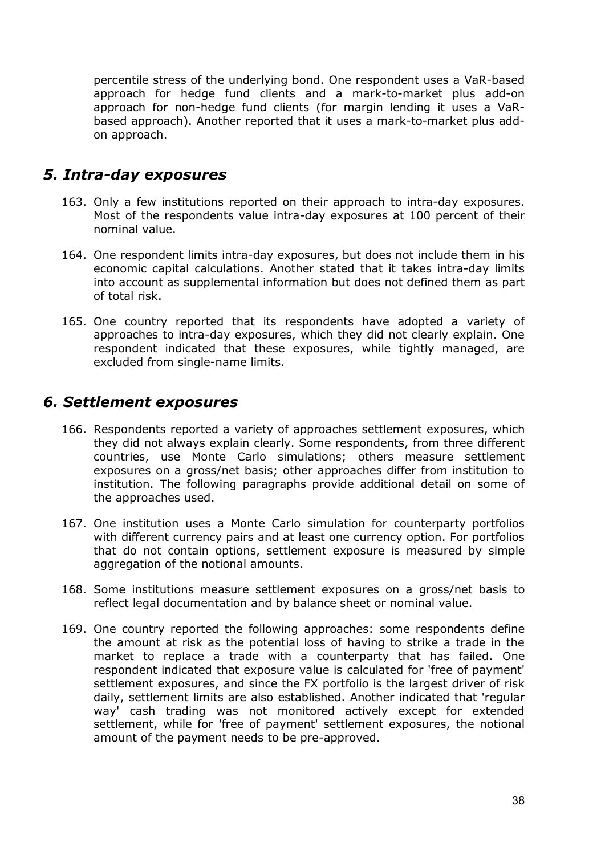percentile stress of the underlying bond. One respondent uses a VaR-based approach for hedge fund clients and a mark-to-market plus add-on approach for non-hedge fund clients (for margin lending it uses a VaRbased approach). Another reported that it uses a mark-to-market plus addon approach.

## <span id="page-37-0"></span>**5. Intra-day exposures**

- 163. Only a few institutions reported on their approach to intra-day exposures. Most of the respondents value intra-day exposures at 100 percent of their nominal value.
- 164. One respondent limits intra-day exposures, but does not include them in his economic capital calculations. Another stated that it takes intra-day limits into account as supplemental information but does not defined them as part of total risk.
- 165. One country reported that its respondents have adopted a variety of approaches to intra-day exposures, which they did not clearly explain. One respondent indicated that these exposures, while tightly managed, are excluded from single-name limits.

### <span id="page-37-1"></span>*6. Settlement exposures*

- 166. Respondents reported a variety of approaches settlement exposures, which they did not always explain clearly. Some respondents, from three different countries, use Monte Carlo simulations; others measure settlement exposures on a gross/net basis; other approaches differ from institution to institution. The following paragraphs provide additional detail on some of the approaches used.
- 167. One institution uses a Monte Carlo simulation for counterparty portfolios with different currency pairs and at least one currency option. For portfolios that do not contain options, settlement exposure is measured by simple aggregation of the notional amounts.
- 168. Some institutions measure settlement exposures on a gross/net basis to reflect legal documentation and by balance sheet or nominal value.
- 169. One country reported the following approaches: some respondents define the amount at risk as the potential loss of having to strike a trade in the market to replace a trade with a counterparty that has failed. One respondent indicated that exposure value is calculated for 'free of payment' settlement exposures, and since the FX portfolio is the largest driver of risk daily, settlement limits are also established. Another indicated that 'regular way' cash trading was not monitored actively except for extended settlement, while for 'free of payment' settlement exposures, the notional amount of the payment needs to be pre-approved.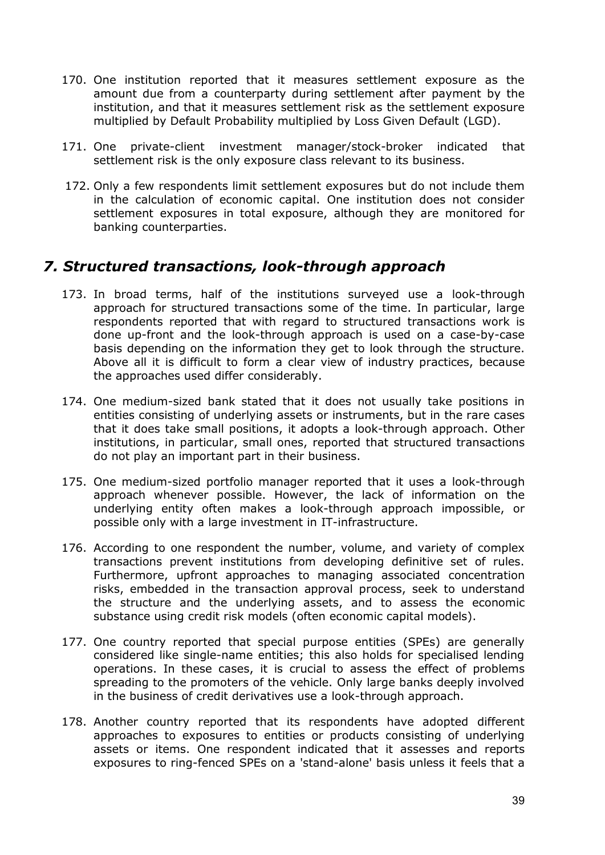- 170. One institution reported that it measures settlement exposure as the amount due from a counterparty during settlement after payment by the institution, and that it measures settlement risk as the settlement exposure multiplied by Default Probability multiplied by Loss Given Default (LGD).
- 171. One private-client investment manager/stock-broker indicated that settlement risk is the only exposure class relevant to its business.
- 172. Only a few respondents limit settlement exposures but do not include them in the calculation of economic capital. One institution does not consider settlement exposures in total exposure, although they are monitored for banking counterparties.

### <span id="page-38-0"></span>*7. Structured transactions, look-through approach*

- 173. In broad terms, half of the institutions surveyed use a look-through approach for structured transactions some of the time. In particular, large respondents reported that with regard to structured transactions work is done up-front and the look-through approach is used on a case-by-case basis depending on the information they get to look through the structure. Above all it is difficult to form a clear view of industry practices, because the approaches used differ considerably.
- 174. One medium-sized bank stated that it does not usually take positions in entities consisting of underlying assets or instruments, but in the rare cases that it does take small positions, it adopts a look-through approach. Other institutions, in particular, small ones, reported that structured transactions do not play an important part in their business.
- 175. One medium-sized portfolio manager reported that it uses a look-through approach whenever possible. However, the lack of information on the underlying entity often makes a look-through approach impossible, or possible only with a large investment in IT-infrastructure.
- 176. According to one respondent the number, volume, and variety of complex transactions prevent institutions from developing definitive set of rules. Furthermore, upfront approaches to managing associated concentration risks, embedded in the transaction approval process, seek to understand the structure and the underlying assets, and to assess the economic substance using credit risk models (often economic capital models).
- 177. One country reported that special purpose entities (SPEs) are generally considered like single-name entities; this also holds for specialised lending operations. In these cases, it is crucial to assess the effect of problems spreading to the promoters of the vehicle. Only large banks deeply involved in the business of credit derivatives use a look-through approach.
- 178. Another country reported that its respondents have adopted different approaches to exposures to entities or products consisting of underlying assets or items. One respondent indicated that it assesses and reports exposures to ring-fenced SPEs on a 'stand-alone' basis unless it feels that a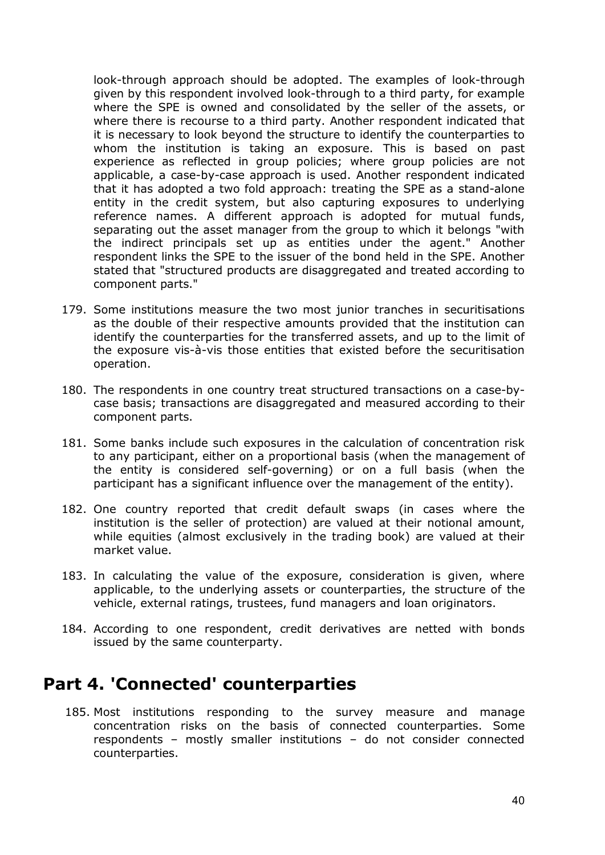look-through approach should be adopted. The examples of look-through given by this respondent involved look-through to a third party, for example where the SPE is owned and consolidated by the seller of the assets, or where there is recourse to a third party. Another respondent indicated that it is necessary to look beyond the structure to identify the counterparties to whom the institution is taking an exposure. This is based on past experience as reflected in group policies; where group policies are not applicable, a case-by-case approach is used. Another respondent indicated that it has adopted a two fold approach: treating the SPE as a stand-alone entity in the credit system, but also capturing exposures to underlying reference names. A different approach is adopted for mutual funds, separating out the asset manager from the group to which it belongs "with the indirect principals set up as entities under the agent." Another respondent links the SPE to the issuer of the bond held in the SPE. Another stated that "structured products are disaggregated and treated according to component parts."

- 179. Some institutions measure the two most junior tranches in securitisations as the double of their respective amounts provided that the institution can identify the counterparties for the transferred assets, and up to the limit of the exposure vis-à-vis those entities that existed before the securitisation operation.
- 180. The respondents in one country treat structured transactions on a case-bycase basis; transactions are disaggregated and measured according to their component parts.
- 181. Some banks include such exposures in the calculation of concentration risk to any participant, either on a proportional basis (when the management of the entity is considered self-governing) or on a full basis (when the participant has a significant influence over the management of the entity).
- 182. One country reported that credit default swaps (in cases where the institution is the seller of protection) are valued at their notional amount, while equities (almost exclusively in the trading book) are valued at their market value.
- 183. In calculating the value of the exposure, consideration is given, where applicable, to the underlying assets or counterparties, the structure of the vehicle, external ratings, trustees, fund managers and loan originators.
- 184. According to one respondent, credit derivatives are netted with bonds issued by the same counterparty.

# <span id="page-39-0"></span>**Part 4. 'Connected' counterparties**

185. Most institutions responding to the survey measure and manage concentration risks on the basis of connected counterparties. Some respondents – mostly smaller institutions – do not consider connected counterparties.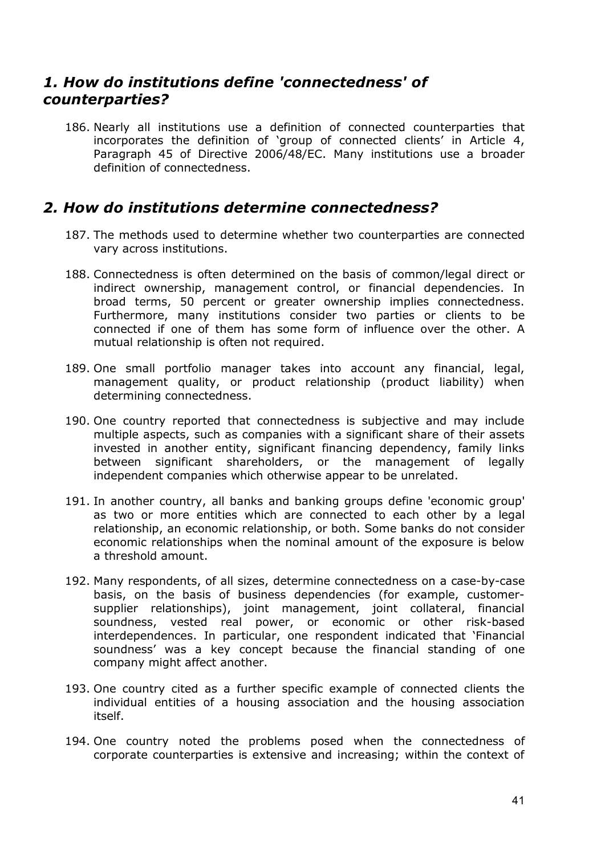## <span id="page-40-0"></span>*1. How do institutions define 'connectedness' of counterparties?*

186. Nearly all institutions use a definition of connected counterparties that incorporates the definition of 'group of connected clients' in Article 4, Paragraph 45 of Directive 2006/48/EC. Many institutions use a broader definition of connectedness.

### *2. How do institutions determine connectedness?*

- 187. The methods used to determine whether two counterparties are connected vary across institutions.
- 188. Connectedness is often determined on the basis of common/legal direct or indirect ownership, management control, or financial dependencies. In broad terms, 50 percent or greater ownership implies connectedness. Furthermore, many institutions consider two parties or clients to be connected if one of them has some form of influence over the other. A mutual relationship is often not required.
- 189. One small portfolio manager takes into account any financial, legal, management quality, or product relationship (product liability) when determining connectedness.
- 190. One country reported that connectedness is subjective and may include multiple aspects, such as companies with a significant share of their assets invested in another entity, significant financing dependency, family links between significant shareholders, or the management of legally independent companies which otherwise appear to be unrelated.
- 191. In another country, all banks and banking groups define 'economic group' as two or more entities which are connected to each other by a legal relationship, an economic relationship, or both. Some banks do not consider economic relationships when the nominal amount of the exposure is below a threshold amount.
- 192. Many respondents, of all sizes, determine connectedness on a case-by-case basis, on the basis of business dependencies (for example, customer supplier relationships), joint management, joint collateral, financial soundness, vested real power, or economic or other risk-based interdependences. In particular, one respondent indicated that 'Financial soundness' was a key concept because the financial standing of one company might affect another.
- 193. One country cited as a further specific example of connected clients the individual entities of a housing association and the housing association itself.
- 194. One country noted the problems posed when the connectedness of corporate counterparties is extensive and increasing; within the context of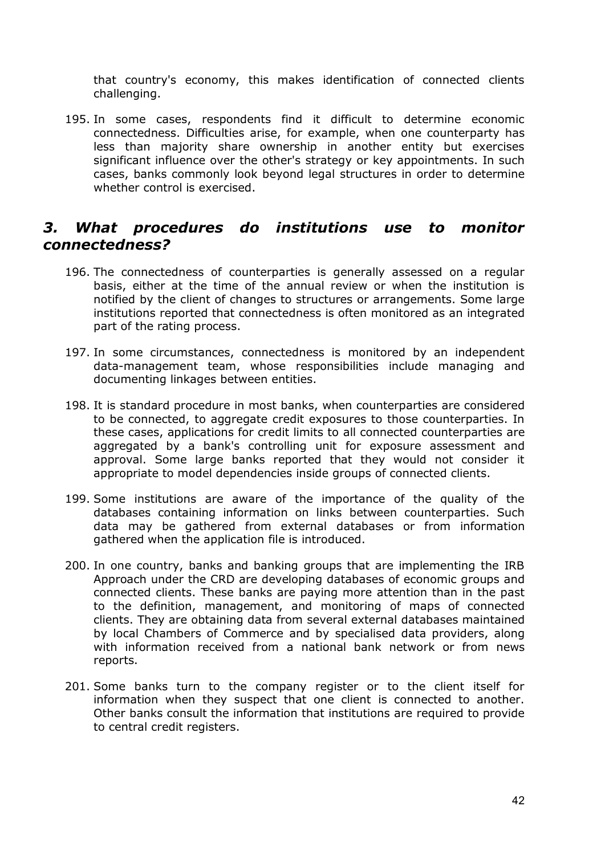that country's economy, this makes identification of connected clients challenging.

195. In some cases, respondents find it difficult to determine economic connectedness. Difficulties arise, for example, when one counterparty has less than majority share ownership in another entity but exercises significant influence over the other's strategy or key appointments. In such cases, banks commonly look beyond legal structures in order to determine whether control is exercised.

## <span id="page-41-0"></span>*3. What procedures do institutions use to monitor connectedness?*

- 196. The connectedness of counterparties is generally assessed on a regular basis, either at the time of the annual review or when the institution is notified by the client of changes to structures or arrangements. Some large institutions reported that connectedness is often monitored as an integrated part of the rating process.
- 197. In some circumstances, connectedness is monitored by an independent data-management team, whose responsibilities include managing and documenting linkages between entities.
- 198. It is standard procedure in most banks, when counterparties are considered to be connected, to aggregate credit exposures to those counterparties. In these cases, applications for credit limits to all connected counterparties are aggregated by a bank's controlling unit for exposure assessment and approval. Some large banks reported that they would not consider it appropriate to model dependencies inside groups of connected clients.
- 199. Some institutions are aware of the importance of the quality of the databases containing information on links between counterparties. Such data may be gathered from external databases or from information gathered when the application file is introduced.
- 200. In one country, banks and banking groups that are implementing the IRB Approach under the CRD are developing databases of economic groups and connected clients. These banks are paying more attention than in the past to the definition, management, and monitoring of maps of connected clients. They are obtaining data from several external databases maintained by local Chambers of Commerce and by specialised data providers, along with information received from a national bank network or from news reports.
- 201. Some banks turn to the company register or to the client itself for information when they suspect that one client is connected to another. Other banks consult the information that institutions are required to provide to central credit registers.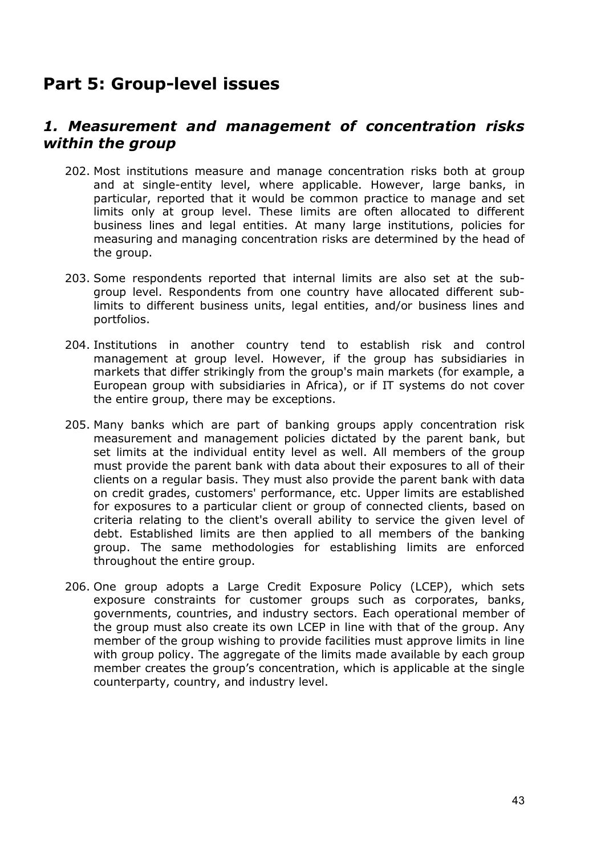# <span id="page-42-0"></span>**Part 5: Group-level issues**

#### <span id="page-42-1"></span>*1. Measurement and management of concentration risks within the group*

- 202. Most institutions measure and manage concentration risks both at group and at single-entity level, where applicable. However, large banks, in particular, reported that it would be common practice to manage and set limits only at group level. These limits are often allocated to different business lines and legal entities. At many large institutions, policies for measuring and managing concentration risks are determined by the head of the group.
- 203. Some respondents reported that internal limits are also set at the subgroup level. Respondents from one country have allocated different sublimits to different business units, legal entities, and/or business lines and portfolios.
- 204. Institutions in another country tend to establish risk and control management at group level. However, if the group has subsidiaries in markets that differ strikingly from the group's main markets (for example, a European group with subsidiaries in Africa), or if IT systems do not cover the entire group, there may be exceptions.
- 205. Many banks which are part of banking groups apply concentration risk measurement and management policies dictated by the parent bank, but set limits at the individual entity level as well. All members of the group must provide the parent bank with data about their exposures to all of their clients on a regular basis. They must also provide the parent bank with data on credit grades, customers' performance, etc. Upper limits are established for exposures to a particular client or group of connected clients, based on criteria relating to the client's overall ability to service the given level of debt. Established limits are then applied to all members of the banking group. The same methodologies for establishing limits are enforced throughout the entire group.
- 206. One group adopts a Large Credit Exposure Policy (LCEP), which sets exposure constraints for customer groups such as corporates, banks, governments, countries, and industry sectors. Each operational member of the group must also create its own LCEP in line with that of the group. Any member of the group wishing to provide facilities must approve limits in line with group policy. The aggregate of the limits made available by each group member creates the group's concentration, which is applicable at the single counterparty, country, and industry level.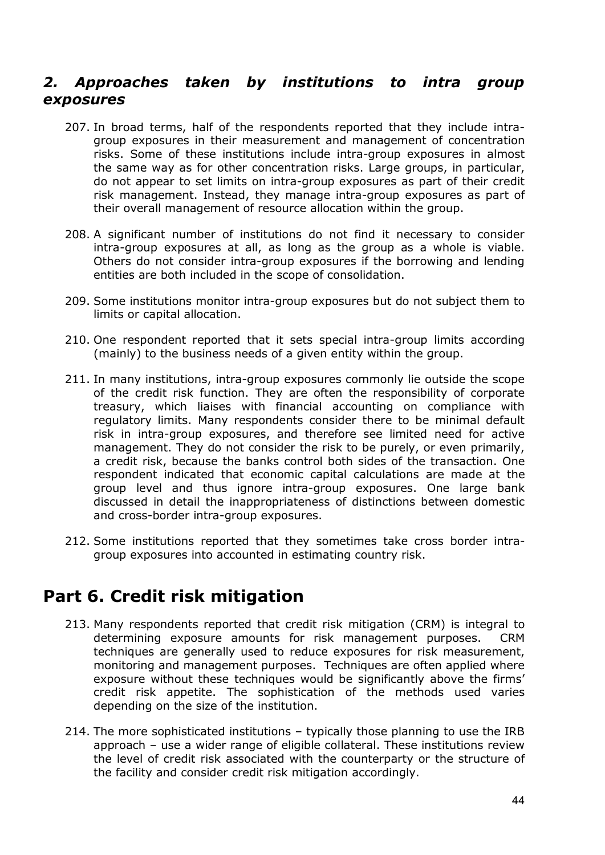## <span id="page-43-0"></span>*2. Approaches taken by institutions to intra group exposures*

- 207. In broad terms, half of the respondents reported that they include intragroup exposures in their measurement and management of concentration risks. Some of these institutions include intra-group exposures in almost the same way as for other concentration risks. Large groups, in particular, do not appear to set limits on intra-group exposures as part of their credit risk management. Instead, they manage intra-group exposures as part of their overall management of resource allocation within the group.
- 208. A significant number of institutions do not find it necessary to consider intra-group exposures at all, as long as the group as a whole is viable. Others do not consider intra-group exposures if the borrowing and lending entities are both included in the scope of consolidation.
- 209. Some institutions monitor intra-group exposures but do not subject them to limits or capital allocation.
- 210. One respondent reported that it sets special intra-group limits according (mainly) to the business needs of a given entity within the group.
- 211. In many institutions, intra-group exposures commonly lie outside the scope of the credit risk function. They are often the responsibility of corporate treasury, which liaises with financial accounting on compliance with regulatory limits. Many respondents consider there to be minimal default risk in intra-group exposures, and therefore see limited need for active management. They do not consider the risk to be purely, or even primarily, a credit risk, because the banks control both sides of the transaction. One respondent indicated that economic capital calculations are made at the group level and thus ignore intra-group exposures. One large bank discussed in detail the inappropriateness of distinctions between domestic and cross-border intra-group exposures.
- 212. Some institutions reported that they sometimes take cross border intragroup exposures into accounted in estimating country risk.

# <span id="page-43-1"></span>**Part 6. Credit risk mitigation**

- 213. Many respondents reported that credit risk mitigation (CRM) is integral to determining exposure amounts for risk management purposes. CRM techniques are generally used to reduce exposures for risk measurement, monitoring and management purposes. Techniques are often applied where exposure without these techniques would be significantly above the firms' credit risk appetite. The sophistication of the methods used varies depending on the size of the institution.
- 214. The more sophisticated institutions typically those planning to use the IRB approach – use a wider range of eligible collateral. These institutions review the level of credit risk associated with the counterparty or the structure of the facility and consider credit risk mitigation accordingly.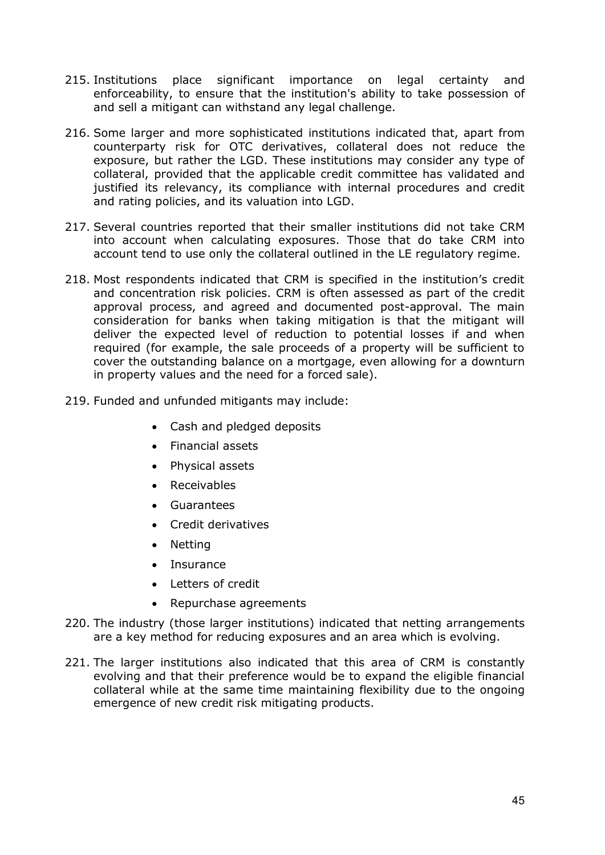- 215. Institutions place significant importance on legal certainty and enforceability, to ensure that the institution's ability to take possession of and sell a mitigant can withstand any legal challenge.
- 216. Some larger and more sophisticated institutions indicated that, apart from counterparty risk for OTC derivatives, collateral does not reduce the exposure, but rather the LGD. These institutions may consider any type of collateral, provided that the applicable credit committee has validated and justified its relevancy, its compliance with internal procedures and credit and rating policies, and its valuation into LGD.
- 217. Several countries reported that their smaller institutions did not take CRM into account when calculating exposures. Those that do take CRM into account tend to use only the collateral outlined in the LE regulatory regime.
- 218. Most respondents indicated that CRM is specified in the institution's credit and concentration risk policies. CRM is often assessed as part of the credit approval process, and agreed and documented post-approval. The main consideration for banks when taking mitigation is that the mitigant will deliver the expected level of reduction to potential losses if and when required (for example, the sale proceeds of a property will be sufficient to cover the outstanding balance on a mortgage, even allowing for a downturn in property values and the need for a forced sale).
- 219. Funded and unfunded mitigants may include:
	- · Cash and pledged deposits
	- · Financial assets
	- · Physical assets
	- · Receivables
	- · Guarantees
	- · Credit derivatives
	- · Netting
	- · Insurance
	- · Letters of credit
	- · Repurchase agreements
- 220. The industry (those larger institutions) indicated that netting arrangements are a key method for reducing exposures and an area which is evolving.
- 221. The larger institutions also indicated that this area of CRM is constantly evolving and that their preference would be to expand the eligible financial collateral while at the same time maintaining flexibility due to the ongoing emergence of new credit risk mitigating products.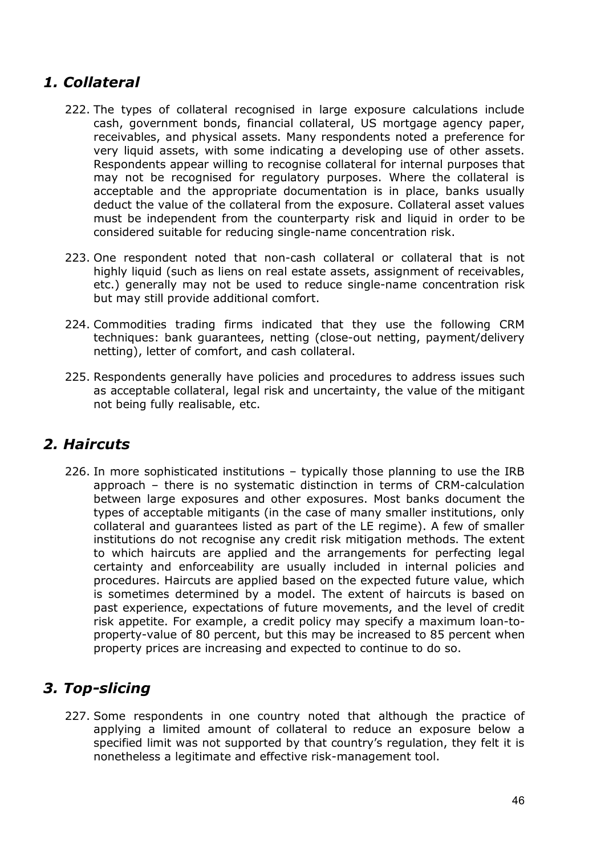# <span id="page-45-0"></span>*1. Collateral*

- 222. The types of collateral recognised in large exposure calculations include cash, government bonds, financial collateral, US mortgage agency paper, receivables, and physical assets. Many respondents noted a preference for very liquid assets, with some indicating a developing use of other assets. Respondents appear willing to recognise collateral for internal purposes that may not be recognised for regulatory purposes. Where the collateral is acceptable and the appropriate documentation is in place, banks usually deduct the value of the collateral from the exposure. Collateral asset values must be independent from the counterparty risk and liquid in order to be considered suitable for reducing single-name concentration risk.
- 223. One respondent noted that non-cash collateral or collateral that is not highly liquid (such as liens on real estate assets, assignment of receivables, etc.) generally may not be used to reduce single-name concentration risk but may still provide additional comfort.
- 224. Commodities trading firms indicated that they use the following CRM techniques: bank guarantees, netting (close-out netting, payment/delivery netting), letter of comfort, and cash collateral.
- 225. Respondents generally have policies and procedures to address issues such as acceptable collateral, legal risk and uncertainty, the value of the mitigant not being fully realisable, etc.

# <span id="page-45-1"></span>*2. Haircuts*

226. In more sophisticated institutions – typically those planning to use the IRB approach  $-$  there is no systematic distinction in terms of CRM-calculation between large exposures and other exposures. Most banks document the types of acceptable mitigants (in the case of many smaller institutions, only collateral and guarantees listed as part of the LE regime). A few of smaller institutions do not recognise any credit risk mitigation methods. The extent to which haircuts are applied and the arrangements for perfecting legal certainty and enforceability are usually included in internal policies and procedures. Haircuts are applied based on the expected future value, which is sometimes determined by a model. The extent of haircuts is based on past experience, expectations of future movements, and the level of credit risk appetite. For example, a credit policy may specify a maximum loan-toproperty-value of 80 percent, but this may be increased to 85 percent when property prices are increasing and expected to continue to do so.

# <span id="page-45-2"></span>3. Top-slicing

227. Some respondents in one country noted that although the practice of applying a limited amount of collateral to reduce an exposure below a specified limit was not supported by that country's regulation, they felt it is nonetheless a legitimate and effective risk-management tool.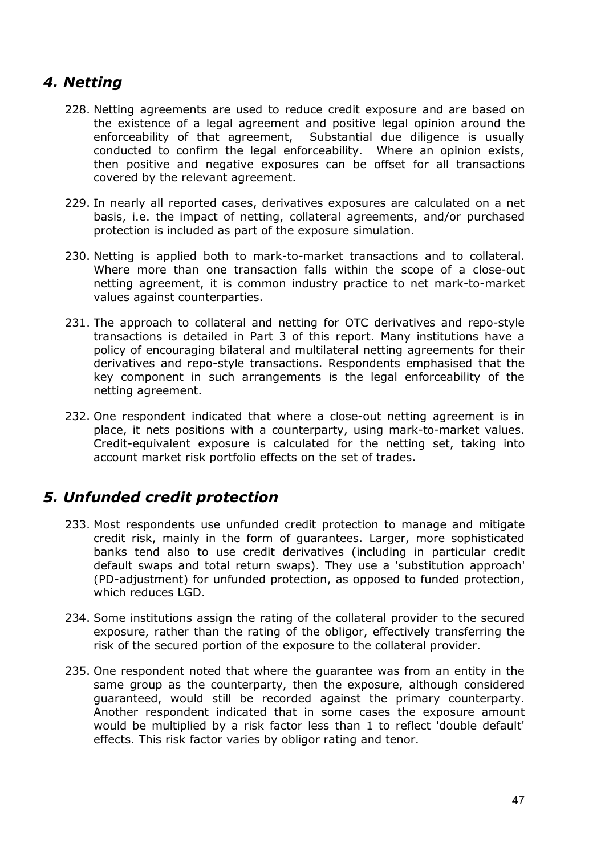# <span id="page-46-0"></span>*4. Netting*

- 228. Netting agreements are used to reduce credit exposure and are based on the existence of a legal agreement and positive legal opinion around the enforceability of that agreement, Substantial due diligence is usually conducted to confirm the legal enforceability. Where an opinion exists, then positive and negative exposures can be offset for all transactions covered by the relevant agreement.
- 229. In nearly all reported cases, derivatives exposures are calculated on a net basis, i.e. the impact of netting, collateral agreements, and/or purchased protection is included as part of the exposure simulation.
- 230. Netting is applied both to mark-to-market transactions and to collateral. Where more than one transaction falls within the scope of a close-out netting agreement, it is common industry practice to net mark-to-market values against counterparties.
- 231. The approach to collateral and netting for OTC derivatives and repo-style transactions is detailed in Part 3 of this report. Many institutions have a policy of encouraging bilateral and multilateral netting agreements for their derivatives and repo-style transactions. Respondents emphasised that the key component in such arrangements is the legal enforceability of the netting agreement.
- 232. One respondent indicated that where a close-out netting agreement is in place, it nets positions with a counterparty, using mark-to-market values. Credit-equivalent exposure is calculated for the netting set, taking into account market risk portfolio effects on the set of trades.

## <span id="page-46-1"></span>*5. Unfunded credit protection*

- 233. Most respondents use unfunded credit protection to manage and mitigate credit risk, mainly in the form of guarantees. Larger, more sophisticated banks tend also to use credit derivatives (including in particular credit default swaps and total return swaps). They use a 'substitution approach' (PD-adjustment) for unfunded protection, as opposed to funded protection, which reduces LGD.
- 234. Some institutions assign the rating of the collateral provider to the secured exposure, rather than the rating of the obligor, effectively transferring the risk of the secured portion of the exposure to the collateral provider.
- 235. One respondent noted that where the guarantee was from an entity in the same group as the counterparty, then the exposure, although considered guaranteed, would still be recorded against the primary counterparty. Another respondent indicated that in some cases the exposure amount would be multiplied by a risk factor less than 1 to reflect 'double default' effects. This risk factor varies by obligor rating and tenor.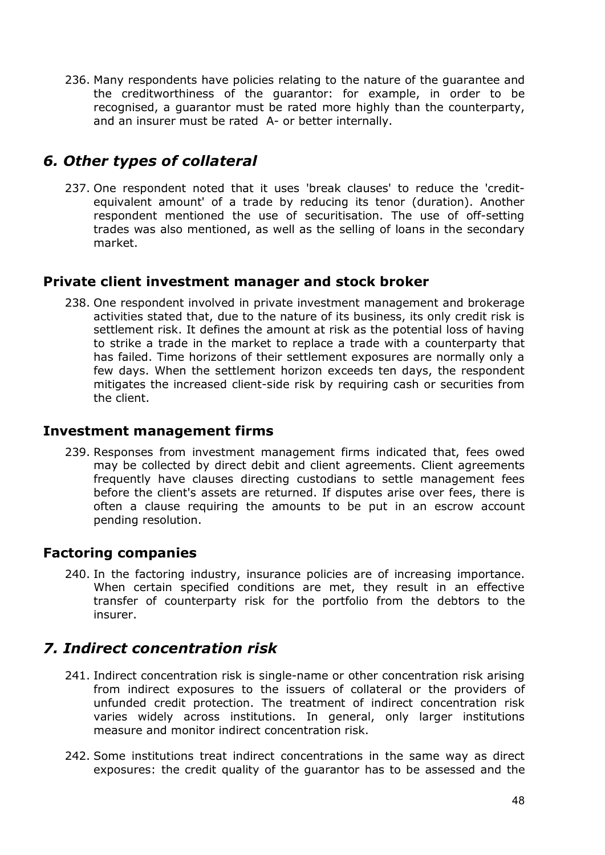236. Many respondents have policies relating to the nature of the guarantee and the creditworthiness of the guarantor: for example, in order to be recognised, a guarantor must be rated more highly than the counterparty, and an insurer must be rated A- or better internally.

# <span id="page-47-0"></span>*6. Other types of collateral*

237. One respondent noted that it uses 'break clauses' to reduce the 'credit equivalent amount' of a trade by reducing its tenor (duration). Another respondent mentioned the use of securitisation. The use of off-setting trades was also mentioned, as well as the selling of loans in the secondary market.

#### <span id="page-47-1"></span>**Private client investment manager and stock broker**

238. One respondent involved in private investment management and brokerage activities stated that, due to the nature of its business, its only credit risk is settlement risk. It defines the amount at risk as the potential loss of having to strike a trade in the market to replace a trade with a counterparty that has failed. Time horizons of their settlement exposures are normally only a few days. When the settlement horizon exceeds ten days, the respondent mitigates the increased client-side risk by requiring cash or securities from the client.

#### <span id="page-47-2"></span>**Investment management firms**

239. Responses from investment management firms indicated that, fees owed may be collected by direct debit and client agreements. Client agreements frequently have clauses directing custodians to settle management fees before the client's assets are returned. If disputes arise over fees, there is often a clause requiring the amounts to be put in an escrow account pending resolution.

#### <span id="page-47-3"></span>**Factoring companies**

240. In the factoring industry, insurance policies are of increasing importance. When certain specified conditions are met, they result in an effective transfer of counterparty risk for the portfolio from the debtors to the insurer.

## <span id="page-47-4"></span>*7. Indirect concentration risk*

- 241. Indirect concentration risk is single-name or other concentration risk arising from indirect exposures to the issuers of collateral or the providers of unfunded credit protection. The treatment of indirect concentration risk varies widely across institutions. In general, only larger institutions measure and monitor indirect concentration risk.
- 242. Some institutions treat indirect concentrations in the same way as direct exposures: the credit quality of the guarantor has to be assessed and the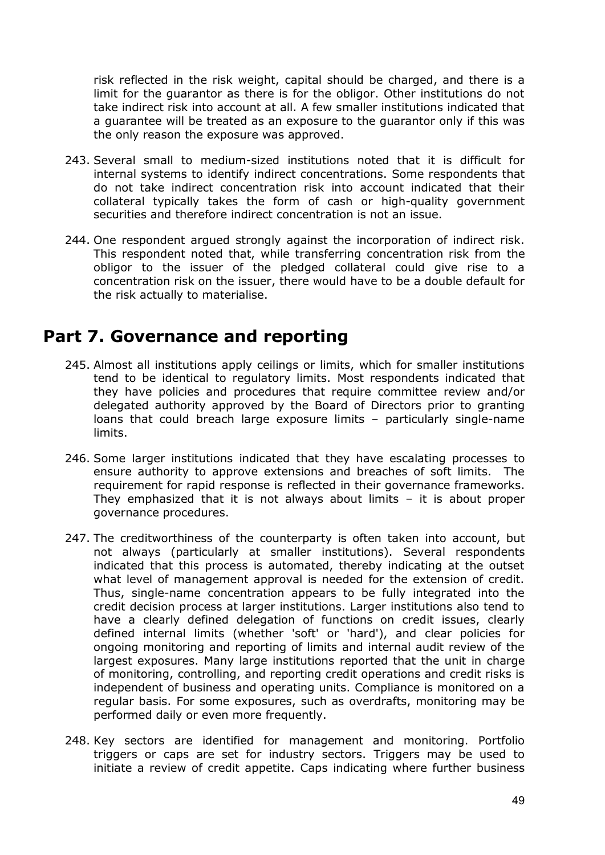risk reflected in the risk weight, capital should be charged, and there is a limit for the guarantor as there is for the obligor. Other institutions do not take indirect risk into account at all. A few smaller institutions indicated that a guarantee will be treated as an exposure to the guarantor only if this was the only reason the exposure was approved.

- 243. Several small to medium-sized institutions noted that it is difficult for internal systems to identify indirect concentrations. Some respondents that do not take indirect concentration risk into account indicated that their collateral typically takes the form of cash or high-quality government securities and therefore indirect concentration is not an issue.
- 244. One respondent argued strongly against the incorporation of indirect risk. This respondent noted that, while transferring concentration risk from the obligor to the issuer of the pledged collateral could give rise to a concentration risk on the issuer, there would have to be a double default for the risk actually to materialise.

# <span id="page-48-0"></span>**Part 7. Governance and reporting**

- 245. Almost all institutions apply ceilings or limits, which for smaller institutions tend to be identical to regulatory limits. Most respondents indicated that they have policies and procedures that require committee review and/or delegated authority approved by the Board of Directors prior to granting loans that could breach large exposure limits - particularly single-name limits.
- 246. Some larger institutions indicated that they have escalating processes to ensure authority to approve extensions and breaches of soft limits. The requirement for rapid response is reflected in their governance frameworks. They emphasized that it is not always about limits  $-$  it is about proper governance procedures.
- 247. The creditworthiness of the counterparty is often taken into account, but not always (particularly at smaller institutions). Several respondents indicated that this process is automated, thereby indicating at the outset what level of management approval is needed for the extension of credit. Thus, single-name concentration appears to be fully integrated into the credit decision process at larger institutions. Larger institutions also tend to have a clearly defined delegation of functions on credit issues, clearly defined internal limits (whether 'soft' or 'hard'), and clear policies for ongoing monitoring and reporting of limits and internal audit review of the largest exposures. Many large institutions reported that the unit in charge of monitoring, controlling, and reporting credit operations and credit risks is independent of business and operating units. Compliance is monitored on a regular basis. For some exposures, such as overdrafts, monitoring may be performed daily or even more frequently.
- 248. Key sectors are identified for management and monitoring. Portfolio triggers or caps are set for industry sectors. Triggers may be used to initiate a review of credit appetite. Caps indicating where further business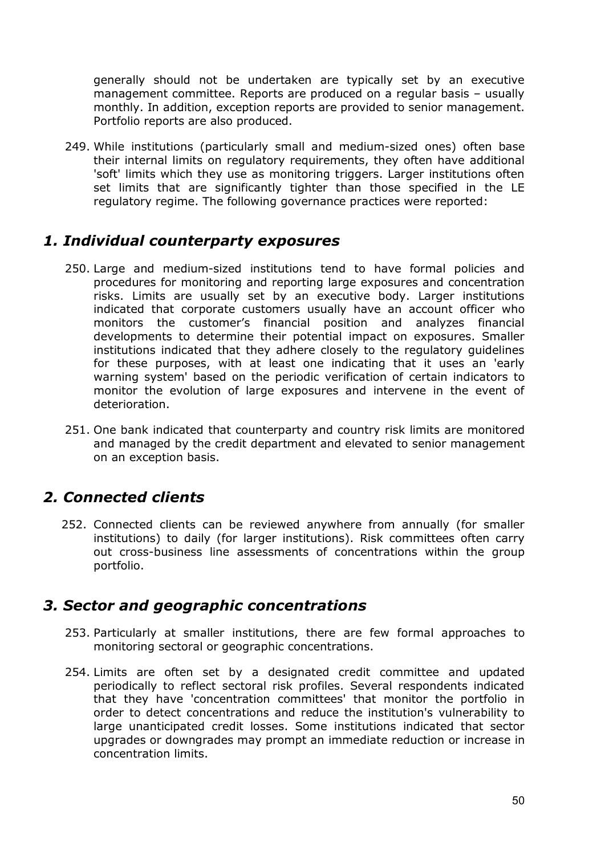generally should not be undertaken are typically set by an executive management committee. Reports are produced on a regular basis – usually monthly. In addition, exception reports are provided to senior management. Portfolio reports are also produced.

249. While institutions (particularly small and medium-sized ones) often base their internal limits on regulatory requirements, they often have additional 'soft' limits which they use as monitoring triggers. Larger institutions often set limits that are significantly tighter than those specified in the LE regulatory regime. The following governance practices were reported:

### <span id="page-49-0"></span>*1. Individual counterparty exposures*

- 250. Large and medium-sized institutions tend to have formal policies and procedures for monitoring and reporting large exposures and concentration risks. Limits are usually set by an executive body. Larger institutions indicated that corporate customers usually have an account officer who monitors the customer's financial position and analyzes financial developments to determine their potential impact on exposures. Smaller institutions indicated that they adhere closely to the regulatory guidelines for these purposes, with at least one indicating that it uses an 'early warning system' based on the periodic verification of certain indicators to monitor the evolution of large exposures and intervene in the event of deterioration.
- 251. One bank indicated that counterparty and country risk limits are monitored and managed by the credit department and elevated to senior management on an exception basis.

## <span id="page-49-1"></span>*2. Connected clients*

252. Connected clients can be reviewed anywhere from annually (for smaller institutions) to daily (for larger institutions). Risk committees often carry out cross-business line assessments of concentrations within the group portfolio.

## <span id="page-49-2"></span>*3. Sector and geographic concentrations*

- 253. Particularly at smaller institutions, there are few formal approaches to monitoring sectoral or geographic concentrations.
- 254. Limits are often set by a designated credit committee and updated periodically to reflect sectoral risk profiles. Several respondents indicated that they have 'concentration committees' that monitor the portfolio in order to detect concentrations and reduce the institution's vulnerability to large unanticipated credit losses. Some institutions indicated that sector upgrades or downgrades may prompt an immediate reduction or increase in concentration limits.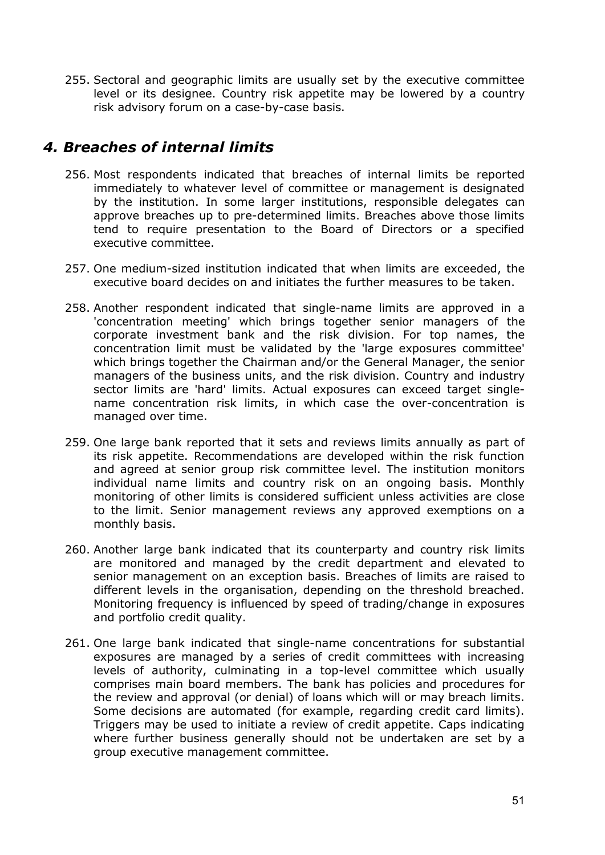255. Sectoral and geographic limits are usually set by the executive committee level or its designee. Country risk appetite may be lowered by a country risk advisory forum on a case-by-case basis.

# <span id="page-50-0"></span>*4. Breaches of internal limits*

- 256. Most respondents indicated that breaches of internal limits be reported immediately to whatever level of committee or management is designated by the institution. In some larger institutions, responsible delegates can approve breaches up to pre-determined limits. Breaches above those limits tend to require presentation to the Board of Directors or a specified executive committee.
- 257. One medium-sized institution indicated that when limits are exceeded, the executive board decides on and initiates the further measures to be taken.
- 258. Another respondent indicated that single-name limits are approved in a 'concentration meeting' which brings together senior managers of the corporate investment bank and the risk division. For top names, the concentration limit must be validated by the 'large exposures committee' which brings together the Chairman and/or the General Manager, the senior managers of the business units, and the risk division. Country and industry sector limits are 'hard' limits. Actual exposures can exceed target singlename concentration risk limits, in which case the over-concentration is managed over time.
- 259. One large bank reported that it sets and reviews limits annually as part of its risk appetite. Recommendations are developed within the risk function and agreed at senior group risk committee level. The institution monitors individual name limits and country risk on an ongoing basis. Monthly monitoring of other limits is considered sufficient unless activities are close to the limit. Senior management reviews any approved exemptions on a monthly basis.
- 260. Another large bank indicated that its counterparty and country risk limits are monitored and managed by the credit department and elevated to senior management on an exception basis. Breaches of limits are raised to different levels in the organisation, depending on the threshold breached. Monitoring frequency is influenced by speed of trading/change in exposures and portfolio credit quality.
- 261. One large bank indicated that single-name concentrations for substantial exposures are managed by a series of credit committees with increasing levels of authority, culminating in a top-level committee which usually comprises main board members. The bank has policies and procedures for the review and approval (or denial) of loans which will or may breach limits. Some decisions are automated (for example, regarding credit card limits). Triggers may be used to initiate a review of credit appetite. Caps indicating where further business generally should not be undertaken are set by a group executive management committee.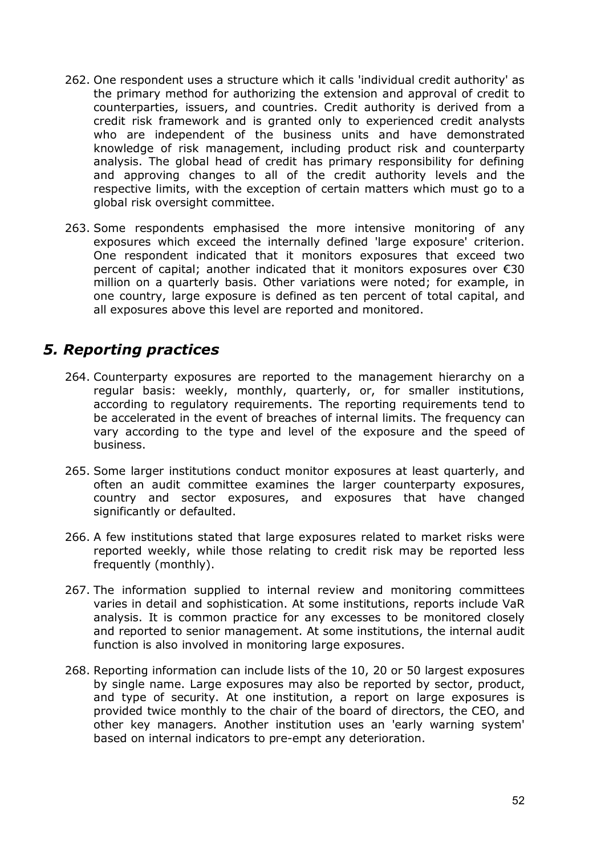- 262. One respondent uses a structure which it calls 'individual credit authority' as the primary method for authorizing the extension and approval of credit to counterparties, issuers, and countries. Credit authority is derived from a credit risk framework and is granted only to experienced credit analysts who are independent of the business units and have demonstrated knowledge of risk management, including product risk and counterparty analysis. The global head of credit has primary responsibility for defining and approving changes to all of the credit authority levels and the respective limits, with the exception of certain matters which must go to a global risk oversight committee.
- 263. Some respondents emphasised the more intensive monitoring of any exposures which exceed the internally defined 'large exposure' criterion. One respondent indicated that it monitors exposures that exceed two percent of capital; another indicated that it monitors exposures over  $\epsilon$ 30 million on a quarterly basis. Other variations were noted; for example, in one country, large exposure is defined as ten percent of total capital, and all exposures above this level are reported and monitored.

## <span id="page-51-0"></span>*5. Reporting practices*

- 264. Counterparty exposures are reported to the management hierarchy on a regular basis: weekly, monthly, quarterly, or, for smaller institutions, according to regulatory requirements. The reporting requirements tend to be accelerated in the event of breaches of internal limits. The frequency can vary according to the type and level of the exposure and the speed of business.
- 265. Some larger institutions conduct monitor exposures at least quarterly, and often an audit committee examines the larger counterparty exposures, country and sector exposures, and exposures that have changed significantly or defaulted.
- 266. A few institutions stated that large exposures related to market risks were reported weekly, while those relating to credit risk may be reported less frequently (monthly).
- 267. The information supplied to internal review and monitoring committees varies in detail and sophistication. At some institutions, reports include VaR analysis. It is common practice for any excesses to be monitored closely and reported to senior management. At some institutions, the internal audit function is also involved in monitoring large exposures.
- 268. Reporting information can include lists of the 10, 20 or 50 largest exposures by single name. Large exposures may also be reported by sector, product, and type of security. At one institution, a report on large exposures is provided twice monthly to the chair of the board of directors, the CEO, and other key managers. Another institution uses an 'early warning system' based on internal indicators to pre-empt any deterioration.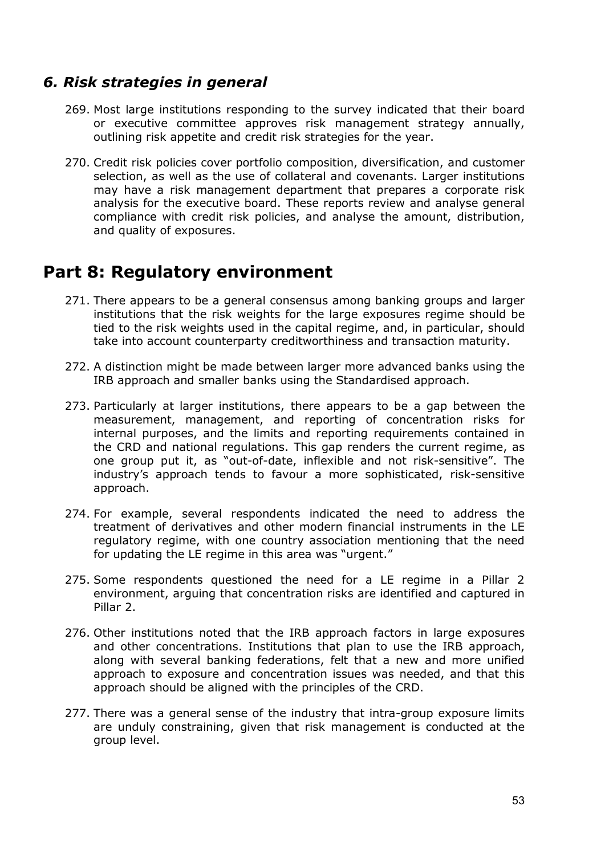## <span id="page-52-0"></span>*6. Risk strategies in general*

- 269. Most large institutions responding to the survey indicated that their board or executive committee approves risk management strategy annually, outlining risk appetite and credit risk strategies for the year.
- 270. Credit risk policies cover portfolio composition, diversification, and customer selection, as well as the use of collateral and covenants. Larger institutions may have a risk management department that prepares a corporate risk analysis for the executive board. These reports review and analyse general compliance with credit risk policies, and analyse the amount, distribution, and quality of exposures.

# <span id="page-52-1"></span>**Part 8: Regulatory environment**

- 271. There appears to be a general consensus among banking groups and larger institutions that the risk weights for the large exposures regime should be tied to the risk weights used in the capital regime, and, in particular, should take into account counterparty creditworthiness and transaction maturity.
- 272. A distinction might be made between larger more advanced banks using the IRB approach and smaller banks using the Standardised approach.
- 273. Particularly at larger institutions, there appears to be a gap between the measurement, management, and reporting of concentration risks for internal purposes, and the limits and reporting requirements contained in the CRD and national regulations. This gap renders the current regime, as one group put it, as "out-of-date, inflexible and not risk-sensitive". The industry's approach tends to favour a more sophisticated, risk-sensitive approach.
- 274. For example, several respondents indicated the need to address the treatment of derivatives and other modern financial instruments in the LE regulatory regime, with one country association mentioning that the need for updating the LE regime in this area was "urgent."
- 275. Some respondents questioned the need for a LE regime in a Pillar 2 environment, arguing that concentration risks are identified and captured in Pillar 2.
- 276. Other institutions noted that the IRB approach factors in large exposures and other concentrations. Institutions that plan to use the IRB approach, along with several banking federations, felt that a new and more unified approach to exposure and concentration issues was needed, and that this approach should be aligned with the principles of the CRD.
- 277. There was a general sense of the industry that intra-group exposure limits are unduly constraining, given that risk management is conducted at the group level.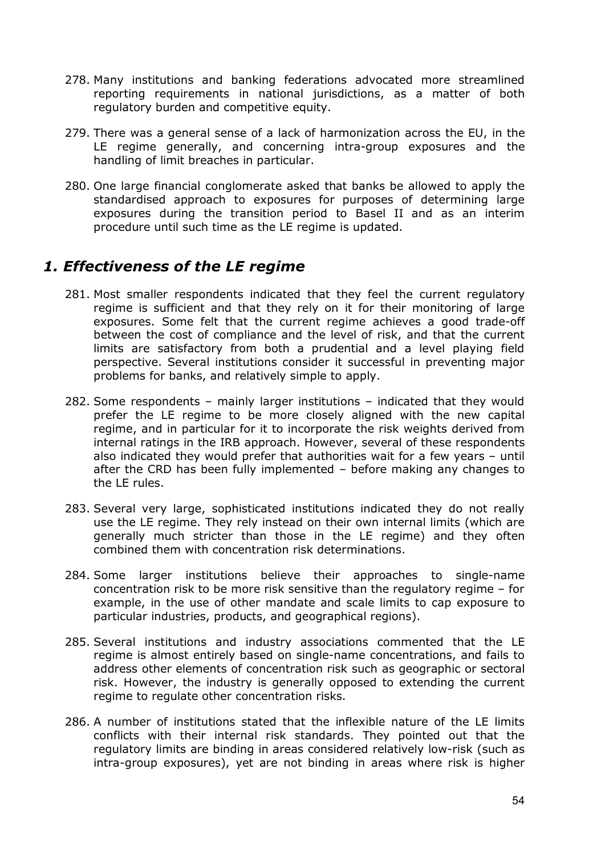- 278. Many institutions and banking federations advocated more streamlined reporting requirements in national jurisdictions, as a matter of both regulatory burden and competitive equity.
- 279. There was a general sense of a lack of harmonization across the EU, in the LE regime generally, and concerning intra-group exposures and the handling of limit breaches in particular.
- 280. One large financial conglomerate asked that banks be allowed to apply the standardised approach to exposures for purposes of determining large exposures during the transition period to Basel II and as an interim procedure until such time as the LE regime is updated.

## <span id="page-53-0"></span>*1. Effectiveness of the LE regime*

- 281. Most smaller respondents indicated that they feel the current regulatory regime is sufficient and that they rely on it for their monitoring of large exposures. Some felt that the current regime achieves a good trade-off between the cost of compliance and the level of risk, and that the current limits are satisfactory from both a prudential and a level playing field perspective. Several institutions consider it successful in preventing major problems for banks, and relatively simple to apply.
- 282. Some respondents mainly larger institutions indicated that they would prefer the LE regime to be more closely aligned with the new capital regime, and in particular for it to incorporate the risk weights derived from internal ratings in the IRB approach. However, several of these respondents also indicated they would prefer that authorities wait for a few years – until after the CRD has been fully implemented – before making any changes to the LE rules.
- 283. Several very large, sophisticated institutions indicated they do not really use the LE regime. They rely instead on their own internal limits (which are generally much stricter than those in the LE regime) and they often combined them with concentration risk determinations.
- 284. Some larger institutions believe their approaches to single-name concentration risk to be more risk sensitive than the regulatory regime – for example, in the use of other mandate and scale limits to cap exposure to particular industries, products, and geographical regions).
- 285. Several institutions and industry associations commented that the LE regime is almost entirely based on single-name concentrations, and fails to address other elements of concentration risk such as geographic or sectoral risk. However, the industry is generally opposed to extending the current regime to regulate other concentration risks.
- 286. A number of institutions stated that the inflexible nature of the LE limits conflicts with their internal risk standards. They pointed out that the regulatory limits are binding in areas considered relatively low-risk (such as intra-group exposures), yet are not binding in areas where risk is higher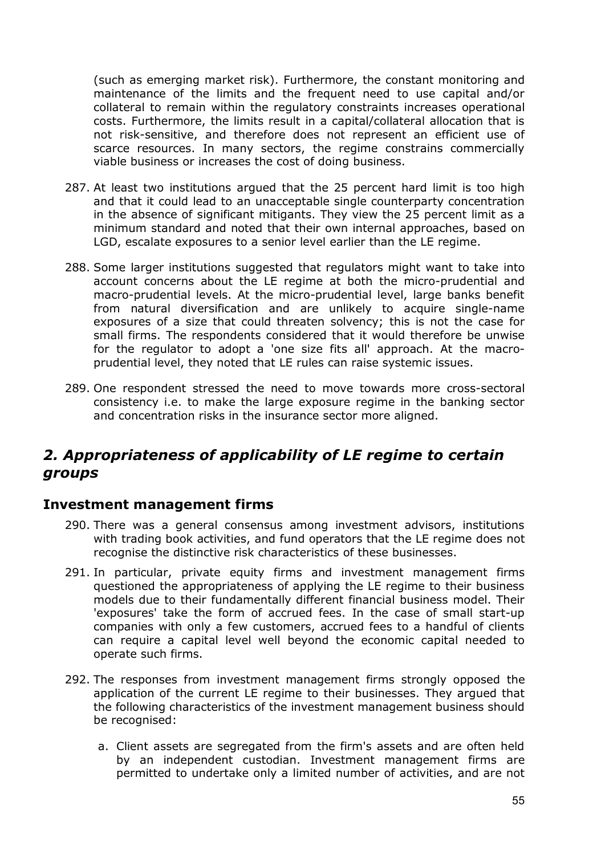(such as emerging market risk). Furthermore, the constant monitoring and maintenance of the limits and the frequent need to use capital and/or collateral to remain within the regulatory constraints increases operational costs. Furthermore, the limits result in a capital/collateral allocation that is not risk-sensitive, and therefore does not represent an efficient use of scarce resources. In many sectors, the regime constrains commercially viable business or increases the cost of doing business.

- 287. At least two institutions argued that the 25 percent hard limit is too high and that it could lead to an unacceptable single counterparty concentration in the absence of significant mitigants. They view the 25 percent limit as a minimum standard and noted that their own internal approaches, based on LGD, escalate exposures to a senior level earlier than the LE regime.
- 288. Some larger institutions suggested that regulators might want to take into account concerns about the LE regime at both the micro-prudential and macro-prudential levels. At the micro-prudential level, large banks benefit from natural diversification and are unlikely to acquire single-name exposures of a size that could threaten solvency; this is not the case for small firms. The respondents considered that it would therefore be unwise for the regulator to adopt a 'one size fits all' approach. At the macroprudential level, they noted that LE rules can raise systemic issues.
- 289. One respondent stressed the need to move towards more cross-sectoral consistency i.e. to make the large exposure regime in the banking sector and concentration risks in the insurance sector more aligned.

## <span id="page-54-0"></span>*2. Appropriateness of applicability of LE regime to certain groups*

#### <span id="page-54-1"></span>**Investment management firms**

- 290. There was a general consensus among investment advisors, institutions with trading book activities, and fund operators that the LE regime does not recognise the distinctive risk characteristics of these businesses.
- 291. In particular, private equity firms and investment management firms questioned the appropriateness of applying the LE regime to their business models due to their fundamentally different financial business model. Their 'exposures' take the form of accrued fees. In the case of small start-up companies with only a few customers, accrued fees to a handful of clients can require a capital level well beyond the economic capital needed to operate such firms.
- 292. The responses from investment management firms strongly opposed the application of the current LE regime to their businesses. They argued that the following characteristics of the investment management business should be recognised:
	- a. Client assets are segregated from the firm's assets and are often held by an independent custodian. Investment management firms are permitted to undertake only a limited number of activities, and are not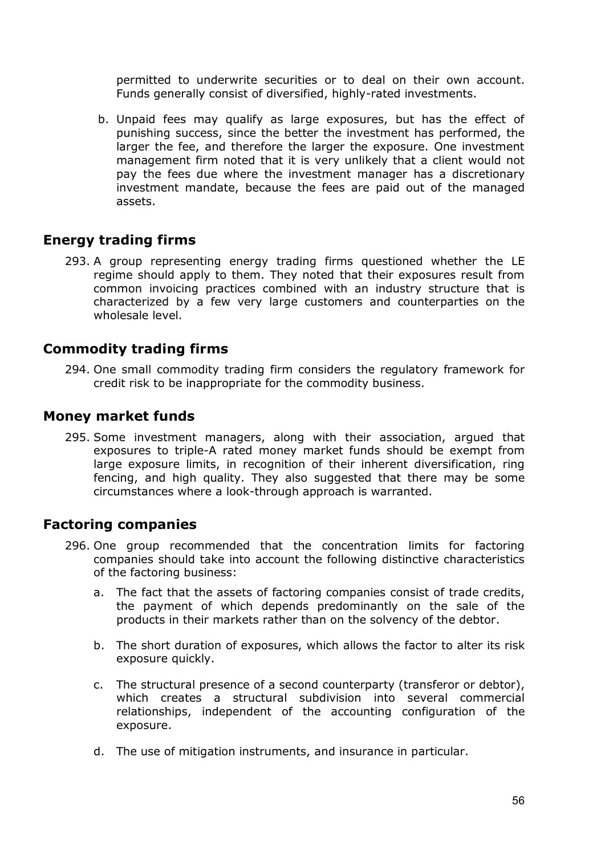permitted to underwrite securities or to deal on their own account. Funds generally consist of diversified, highly-rated investments.

b. Unpaid fees may qualify as large exposures, but has the effect of punishing success, since the better the investment has performed, the larger the fee, and therefore the larger the exposure. One investment management firm noted that it is very unlikely that a client would not pay the fees due where the investment manager has a discretionary investment mandate, because the fees are paid out of the managed assets.

#### <span id="page-55-0"></span>**Energy trading firms**

293. A group representing energy trading firms questioned whether the LE regime should apply to them. They noted that their exposures result from common invoicing practices combined with an industry structure that is characterized by a few very large customers and counterparties on the wholesale level.

#### <span id="page-55-1"></span>**Commodity trading firms**

294. One small commodity trading firm considers the regulatory framework for credit risk to be inappropriate for the commodity business.

#### <span id="page-55-2"></span>**Money market funds**

295. Some investment managers, along with their association, argued that exposures to triple-A rated money market funds should be exempt from large exposure limits, in recognition of their inherent diversification, ring fencing, and high quality. They also suggested that there may be some circumstances where a look-through approach is warranted.

#### <span id="page-55-3"></span>**Factoring companies**

- 296. One group recommended that the concentration limits for factoring companies should take into account the following distinctive characteristics of the factoring business:
	- a. The fact that the assets of factoring companies consist of trade credits, the payment of which depends predominantly on the sale of the products in their markets rather than on the solvency of the debtor.
	- b. The short duration of exposures, which allows the factor to alter its risk exposure quickly.
	- c. The structural presence of a second counterparty (transferor or debtor), which creates a structural subdivision into several commercial relationships, independent of the accounting configuration of the exposure.
	- d. The use of mitigation instruments, and insurance in particular.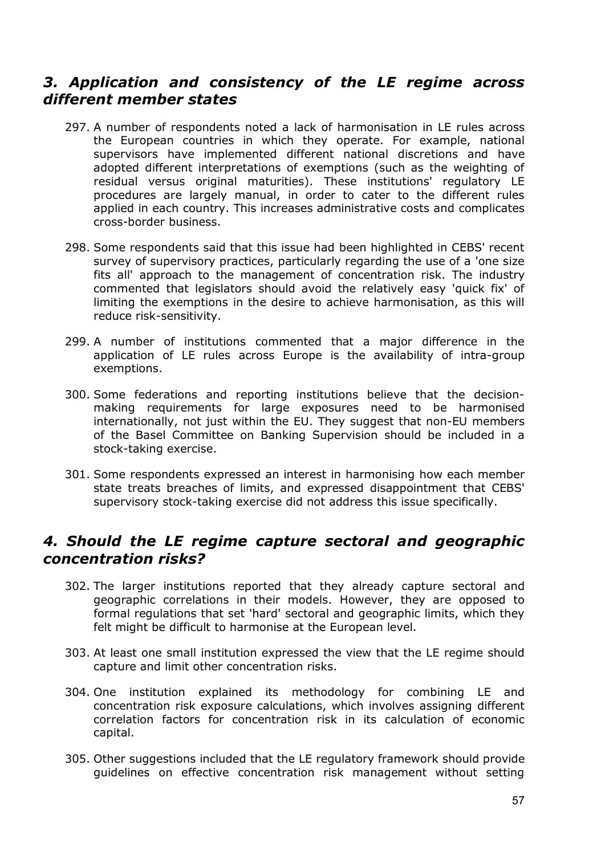## <span id="page-56-0"></span>*3. Application and consistency of the LE regime across different member states*

- 297. A number of respondents noted a lack of harmonisation in LE rules across the European countries in which they operate. For example, national supervisors have implemented different national discretions and have adopted different interpretations of exemptions (such as the weighting of residual versus original maturities). These institutions' regulatory LE procedures are largely manual, in order to cater to the different rules applied in each country. This increases administrative costs and complicates cross-border business.
- 298. Some respondents said that this issue had been highlighted in CEBS' recent survey of supervisory practices, particularly regarding the use of a 'one size fits all' approach to the management of concentration risk. The industry commented that legislators should avoid the relatively easy 'quick fix' of limiting the exemptions in the desire to achieve harmonisation, as this will reduce risk-sensitivity.
- 299. A number of institutions commented that a major difference in the application of LE rules across Europe is the availability of intra-group exemptions.
- 300. Some federations and reporting institutions believe that the decision making requirements for large exposures need to be harmonised internationally, not just within the EU. They suggest that non-EU members of the Basel Committee on Banking Supervision should be included in a stock-taking exercise.
- 301. Some respondents expressed an interest in harmonising how each member state treats breaches of limits, and expressed disappointment that CEBS' supervisory stock-taking exercise did not address this issue specifically.

## <span id="page-56-1"></span>*4. Should the LE regime capture sectoral and geographic concentration risks?*

- 302. The larger institutions reported that they already capture sectoral and geographic correlations in their models. However, they are opposed to formal regulations that set 'hard' sectoral and geographic limits, which they felt might be difficult to harmonise at the European level.
- 303. At least one small institution expressed the view that the LE regime should capture and limit other concentration risks.
- 304. One institution explained its methodology for combining LE and concentration risk exposure calculations, which involves assigning different correlation factors for concentration risk in its calculation of economic capital.
- 305. Other suggestions included that the LE regulatory framework should provide guidelines on effective concentration risk management without setting